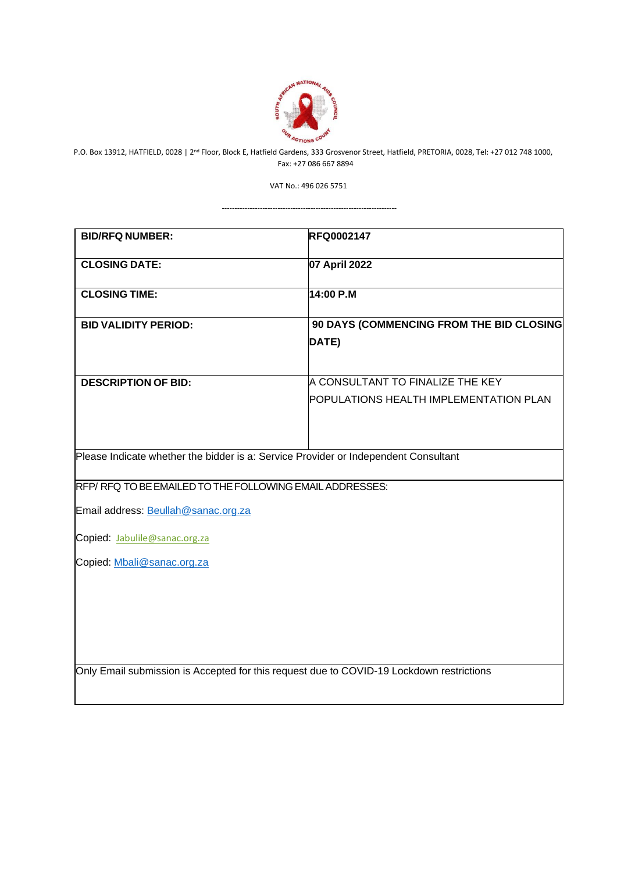

 P.O. Box 13912, HATFIELD, 0028 | 2nd Floor, Block E, Hatfield Gardens, 333 Grosvenor Street, Hatfield, PRETORIA, 0028, Tel: +27 012 748 1000, Fax: +27 086 667 8894

VAT No.: 496 026 5751

---------------------------------------------------------------------

| <b>BID/RFQ NUMBER:</b>                                                                   | <b>RFQ0002147</b>                        |  |
|------------------------------------------------------------------------------------------|------------------------------------------|--|
| <b>CLOSING DATE:</b>                                                                     | 07 April 2022                            |  |
|                                                                                          |                                          |  |
| <b>CLOSING TIME:</b>                                                                     | 14:00 P.M                                |  |
| <b>BID VALIDITY PERIOD:</b>                                                              | 90 DAYS (COMMENCING FROM THE BID CLOSING |  |
|                                                                                          | DATE)                                    |  |
|                                                                                          |                                          |  |
| <b>DESCRIPTION OF BID:</b>                                                               | A CONSULTANT TO FINALIZE THE KEY         |  |
|                                                                                          | POPULATIONS HEALTH IMPLEMENTATION PLAN   |  |
|                                                                                          |                                          |  |
|                                                                                          |                                          |  |
| Please Indicate whether the bidder is a: Service Provider or Independent Consultant      |                                          |  |
| RFP/RFQ TO BE EMAILED TO THE FOLLOWING EMAIL ADDRESSES:                                  |                                          |  |
|                                                                                          |                                          |  |
| Email address: Beullah@sanac.org.za                                                      |                                          |  |
| Copied: Jabulile@sanac.org.za                                                            |                                          |  |
| Copied: Mbali@sanac.org.za                                                               |                                          |  |
|                                                                                          |                                          |  |
|                                                                                          |                                          |  |
|                                                                                          |                                          |  |
|                                                                                          |                                          |  |
|                                                                                          |                                          |  |
| Only Email submission is Accepted for this request due to COVID-19 Lockdown restrictions |                                          |  |
|                                                                                          |                                          |  |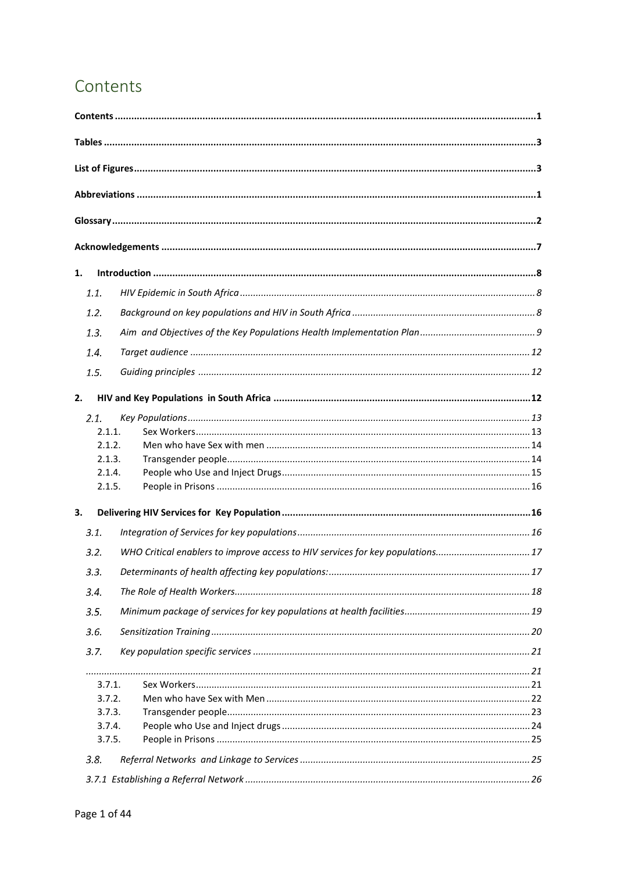# <span id="page-1-0"></span>Contents

| 1.   |        |                                                                               |    |
|------|--------|-------------------------------------------------------------------------------|----|
| 1.1. |        |                                                                               |    |
| 1.2. |        |                                                                               |    |
| 1.3. |        |                                                                               |    |
| 1.4. |        |                                                                               |    |
| 1.5. |        |                                                                               |    |
|      |        |                                                                               |    |
| 2.   |        |                                                                               |    |
| 2.1. |        |                                                                               |    |
|      | 2.1.1. |                                                                               |    |
|      | 2.1.2. |                                                                               |    |
|      | 2.1.3. |                                                                               |    |
|      | 2.1.4. |                                                                               |    |
|      | 2.1.5. |                                                                               |    |
| 3.   |        |                                                                               |    |
| 3.1. |        |                                                                               |    |
| 3.2. |        | WHO Critical enablers to improve access to HIV services for key populations17 |    |
| 3.3. |        |                                                                               | 17 |
| 3.4. |        |                                                                               |    |
| 3.5. |        |                                                                               |    |
| 3.6. |        |                                                                               |    |
| 3.7. |        |                                                                               |    |
|      |        |                                                                               |    |
|      | 3.7.1. |                                                                               |    |
|      | 3.7.2. |                                                                               |    |
|      | 3.7.3. |                                                                               |    |
|      | 3.7.4. |                                                                               |    |
|      | 3.7.5. |                                                                               |    |
| 3.8. |        |                                                                               |    |
|      |        |                                                                               |    |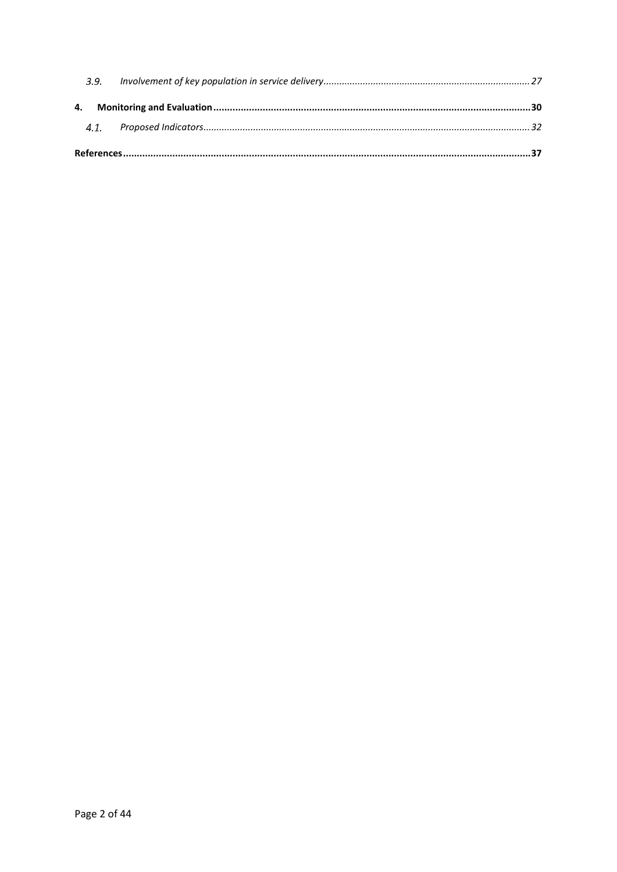| 3.9. |  |
|------|--|
|      |  |
|      |  |
|      |  |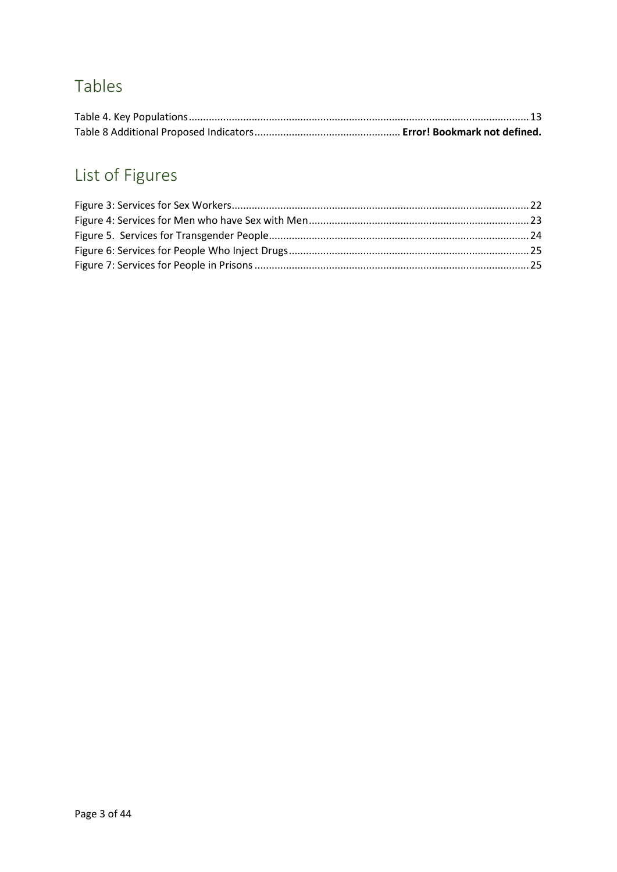# <span id="page-3-0"></span>Tables

# <span id="page-3-1"></span>List of Figures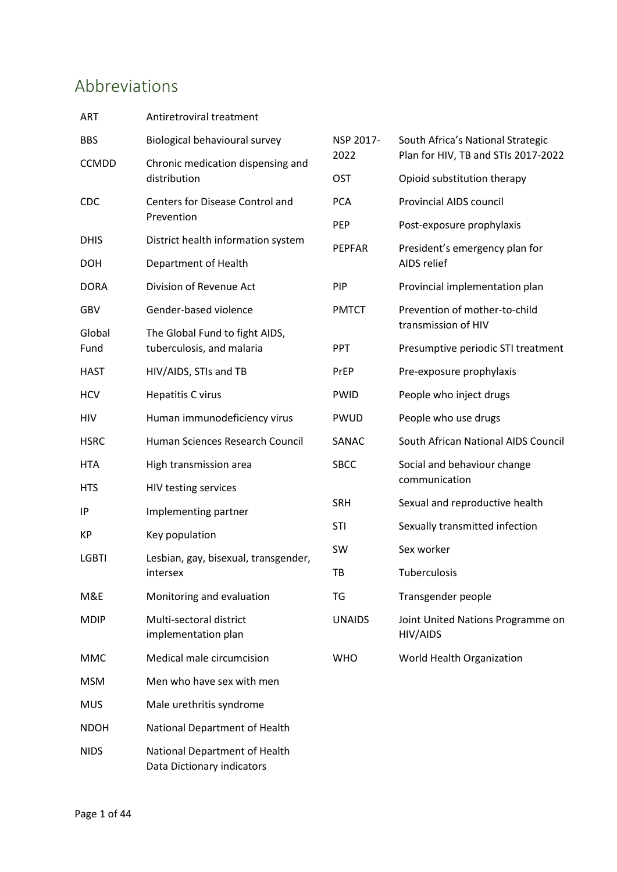# <span id="page-4-0"></span>Abbreviations

| <b>ART</b>     | Antiretroviral treatment                                    |               |                                                      |
|----------------|-------------------------------------------------------------|---------------|------------------------------------------------------|
| <b>BBS</b>     | Biological behavioural survey                               | NSP 2017-     | South Africa's National Strategic                    |
| <b>CCMDD</b>   | Chronic medication dispensing and                           | 2022          | Plan for HIV, TB and STIs 2017-2022                  |
|                | distribution                                                | <b>OST</b>    | Opioid substitution therapy                          |
| CDC            | Centers for Disease Control and<br>Prevention               | <b>PCA</b>    | <b>Provincial AIDS council</b>                       |
|                |                                                             | PEP           | Post-exposure prophylaxis                            |
| <b>DHIS</b>    | District health information system                          | <b>PEPFAR</b> | President's emergency plan for                       |
| <b>DOH</b>     | Department of Health                                        |               | AIDS relief                                          |
| <b>DORA</b>    | Division of Revenue Act                                     | <b>PIP</b>    | Provincial implementation plan                       |
| GBV            | Gender-based violence                                       | <b>PMTCT</b>  | Prevention of mother-to-child<br>transmission of HIV |
| Global<br>Fund | The Global Fund to fight AIDS,<br>tuberculosis, and malaria | <b>PPT</b>    | Presumptive periodic STI treatment                   |
| <b>HAST</b>    | HIV/AIDS, STIs and TB                                       | PrEP          | Pre-exposure prophylaxis                             |
| <b>HCV</b>     | <b>Hepatitis C virus</b>                                    | <b>PWID</b>   | People who inject drugs                              |
| HIV            | Human immunodeficiency virus                                | <b>PWUD</b>   | People who use drugs                                 |
| <b>HSRC</b>    | Human Sciences Research Council                             | SANAC         | South African National AIDS Council                  |
| <b>HTA</b>     | High transmission area                                      | <b>SBCC</b>   | Social and behaviour change                          |
| <b>HTS</b>     | HIV testing services                                        |               | communication                                        |
| IP             | Implementing partner                                        | <b>SRH</b>    | Sexual and reproductive health                       |
| KP             | Key population                                              | <b>STI</b>    | Sexually transmitted infection                       |
| <b>LGBTI</b>   | Lesbian, gay, bisexual, transgender,                        | SW            | Sex worker                                           |
|                | intersex                                                    | тв            | <b>Tuberculosis</b>                                  |
| M&E            | Monitoring and evaluation                                   | TG            | Transgender people                                   |
| <b>MDIP</b>    | Multi-sectoral district<br>implementation plan              | <b>UNAIDS</b> | Joint United Nations Programme on<br>HIV/AIDS        |
| <b>MMC</b>     | Medical male circumcision                                   | <b>WHO</b>    | World Health Organization                            |
| <b>MSM</b>     | Men who have sex with men                                   |               |                                                      |
| <b>MUS</b>     | Male urethritis syndrome                                    |               |                                                      |
| <b>NDOH</b>    | National Department of Health                               |               |                                                      |
| <b>NIDS</b>    | National Department of Health                               |               |                                                      |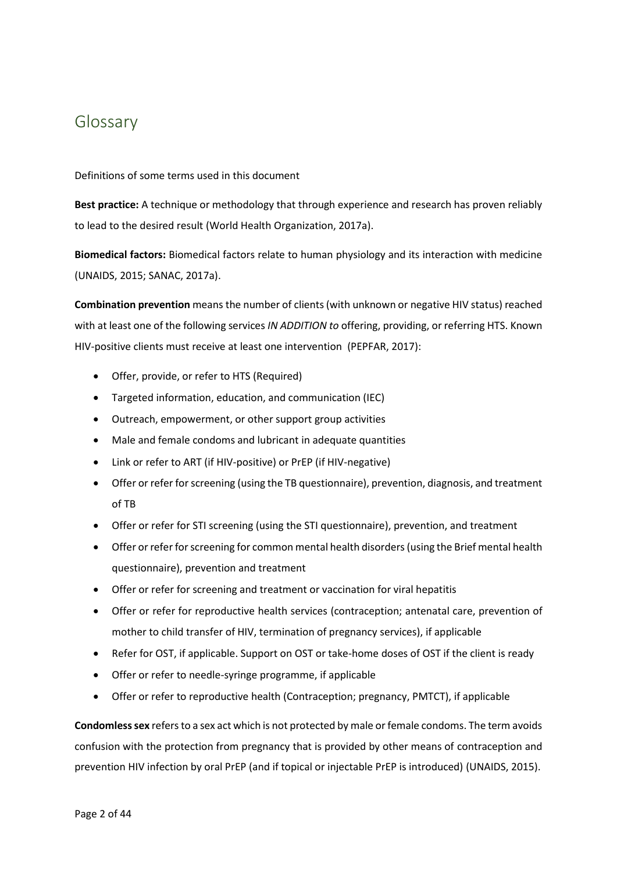# <span id="page-5-0"></span>Glossary

Definitions of some terms used in this document

**Best practice:** A technique or methodology that through experience and research has proven reliably to lead to the desired result (World Health Organization, 2017a).

**Biomedical factors:** Biomedical factors relate to human physiology and its interaction with medicine (UNAIDS, 2015; SANAC, 2017a).

**Combination prevention** means the number of clients (with unknown or negative HIV status) reached with at least one of the following services *IN ADDITION to* offering, providing, or referring HTS. Known HIV-positive clients must receive at least one intervention (PEPFAR, 2017):

- Offer, provide, or refer to HTS (Required)
- Targeted information, education, and communication (IEC)
- Outreach, empowerment, or other support group activities
- Male and female condoms and lubricant in adequate quantities
- Link or refer to ART (if HIV-positive) or PrEP (if HIV-negative)
- Offer or refer for screening (using the TB questionnaire), prevention, diagnosis, and treatment of TB
- Offer or refer for STI screening (using the STI questionnaire), prevention, and treatment
- Offer or refer for screening for common mental health disorders (using the Brief mental health questionnaire), prevention and treatment
- Offer or refer for screening and treatment or vaccination for viral hepatitis
- Offer or refer for reproductive health services (contraception; antenatal care, prevention of mother to child transfer of HIV, termination of pregnancy services), if applicable
- Refer for OST, if applicable. Support on OST or take-home doses of OST if the client is ready
- Offer or refer to needle-syringe programme, if applicable
- Offer or refer to reproductive health (Contraception; pregnancy, PMTCT), if applicable

**Condomless sex** refers to a sex act which is not protected by male or female condoms. The term avoids confusion with the protection from pregnancy that is provided by other means of contraception and prevention HIV infection by oral PrEP (and if topical or injectable PrEP is introduced) (UNAIDS, 2015).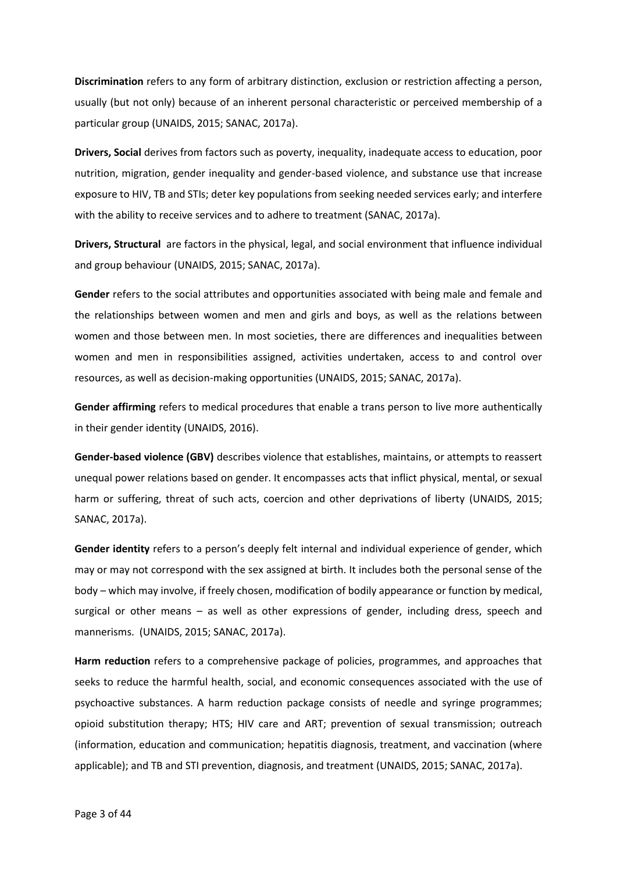**Discrimination** refers to any form of arbitrary distinction, exclusion or restriction affecting a person, usually (but not only) because of an inherent personal characteristic or perceived membership of a particular group (UNAIDS, 2015; SANAC, 2017a).

**Drivers, Social** derives from factors such as poverty, inequality, inadequate access to education, poor nutrition, migration, gender inequality and gender-based violence, and substance use that increase exposure to HIV, TB and STIs; deter key populations from seeking needed services early; and interfere with the ability to receive services and to adhere to treatment (SANAC, 2017a).

**Drivers, Structural** are factors in the physical, legal, and social environment that influence individual and group behaviour (UNAIDS, 2015; SANAC, 2017a).

**Gender** refers to the social attributes and opportunities associated with being male and female and the relationships between women and men and girls and boys, as well as the relations between women and those between men. In most societies, there are differences and inequalities between women and men in responsibilities assigned, activities undertaken, access to and control over resources, as well as decision-making opportunities (UNAIDS, 2015; SANAC, 2017a).

**Gender affirming** refers to medical procedures that enable a trans person to live more authentically in their gender identity (UNAIDS, 2016).

**Gender-based violence (GBV)** describes violence that establishes, maintains, or attempts to reassert unequal power relations based on gender. It encompasses acts that inflict physical, mental, or sexual harm or suffering, threat of such acts, coercion and other deprivations of liberty (UNAIDS, 2015; SANAC, 2017a).

**Gender identity** refers to a person's deeply felt internal and individual experience of gender, which may or may not correspond with the sex assigned at birth. It includes both the personal sense of the body – which may involve, if freely chosen, modification of bodily appearance or function by medical, surgical or other means – as well as other expressions of gender, including dress, speech and mannerisms. (UNAIDS, 2015; SANAC, 2017a).

**Harm reduction** refers to a comprehensive package of policies, programmes, and approaches that seeks to reduce the harmful health, social, and economic consequences associated with the use of psychoactive substances. A harm reduction package consists of needle and syringe programmes; opioid substitution therapy; HTS; HIV care and ART; prevention of sexual transmission; outreach (information, education and communication; hepatitis diagnosis, treatment, and vaccination (where applicable); and TB and STI prevention, diagnosis, and treatment (UNAIDS, 2015; SANAC, 2017a).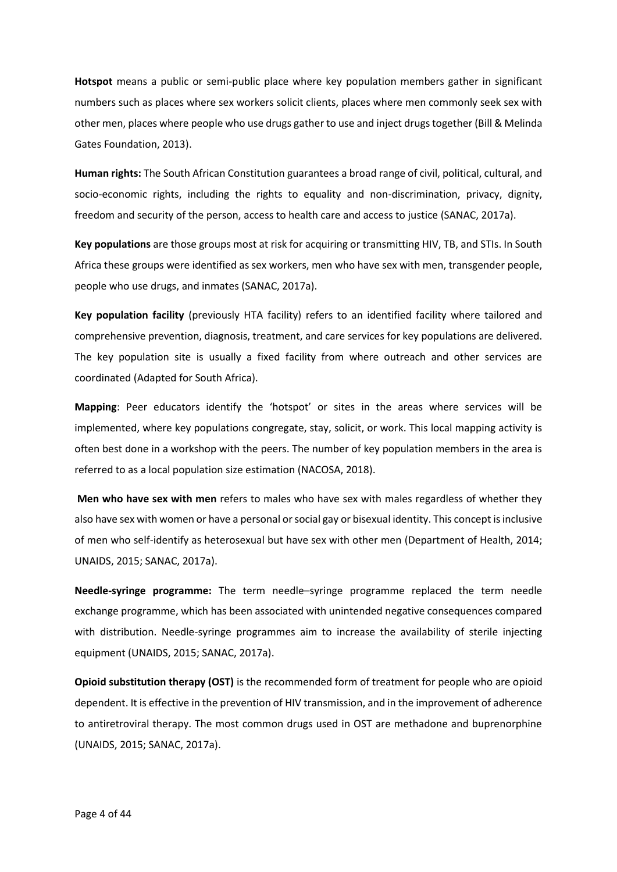**Hotspot** means a public or semi-public place where key population members gather in significant numbers such as places where sex workers solicit clients, places where men commonly seek sex with other men, places where people who use drugs gather to use and inject drugs together (Bill & Melinda Gates Foundation, 2013).

**Human rights:** The South African Constitution guarantees a broad range of civil, political, cultural, and socio-economic rights, including the rights to equality and non-discrimination, privacy, dignity, freedom and security of the person, access to health care and access to justice (SANAC, 2017a).

**Key populations** are those groups most at risk for acquiring or transmitting HIV, TB, and STIs. In South Africa these groups were identified as sex workers, men who have sex with men, transgender people, people who use drugs, and inmates (SANAC, 2017a).

**Key population facility** (previously HTA facility) refers to an identified facility where tailored and comprehensive prevention, diagnosis, treatment, and care services for key populations are delivered. The key population site is usually a fixed facility from where outreach and other services are coordinated (Adapted for South Africa).

**Mapping**: Peer educators identify the 'hotspot' or sites in the areas where services will be implemented, where key populations congregate, stay, solicit, or work. This local mapping activity is often best done in a workshop with the peers. The number of key population members in the area is referred to as a local population size estimation (NACOSA, 2018).

**Men who have sex with men** refers to males who have sex with males regardless of whether they also have sex with women or have a personal or social gay or bisexual identity. This concept is inclusive of men who self-identify as heterosexual but have sex with other men (Department of Health, 2014; UNAIDS, 2015; SANAC, 2017a).

**Needle-syringe programme:** The term needle–syringe programme replaced the term needle exchange programme, which has been associated with unintended negative consequences compared with distribution. Needle-syringe programmes aim to increase the availability of sterile injecting equipment (UNAIDS, 2015; SANAC, 2017a).

**Opioid substitution therapy (OST)** is the recommended form of treatment for people who are opioid dependent. It is effective in the prevention of HIV transmission, and in the improvement of adherence to antiretroviral therapy. The most common drugs used in OST are methadone and buprenorphine (UNAIDS, 2015; SANAC, 2017a).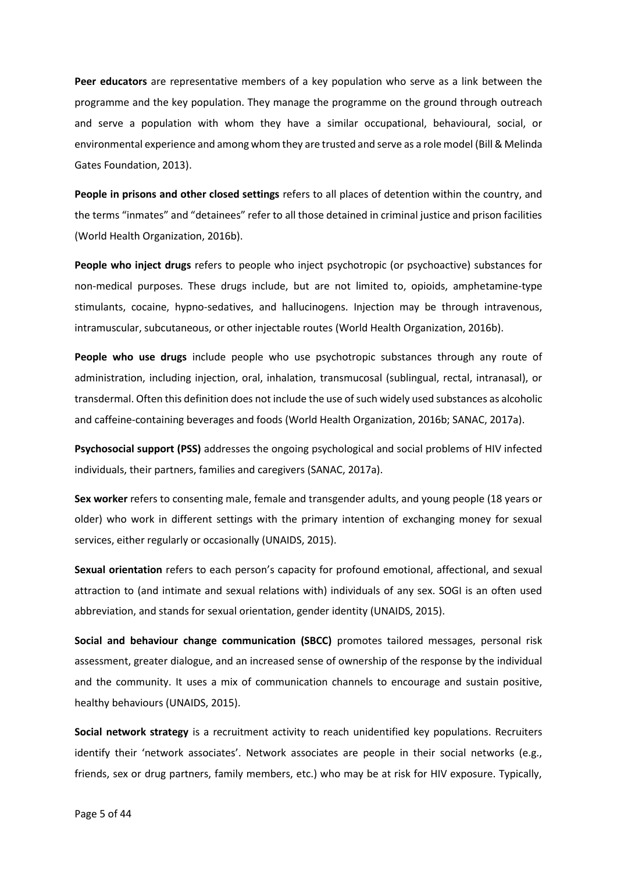**Peer educators** are representative members of a key population who serve as a link between the programme and the key population. They manage the programme on the ground through outreach and serve a population with whom they have a similar occupational, behavioural, social, or environmental experience and among whom they are trusted and serve as a role model (Bill & Melinda Gates Foundation, 2013).

**People in prisons and other closed settings** refers to all places of detention within the country, and the terms "inmates" and "detainees" refer to all those detained in criminal justice and prison facilities (World Health Organization, 2016b).

**People who inject drugs** refers to people who inject psychotropic (or psychoactive) substances for non-medical purposes. These drugs include, but are not limited to, opioids, amphetamine-type stimulants, cocaine, hypno-sedatives, and hallucinogens. Injection may be through intravenous, intramuscular, subcutaneous, or other injectable routes (World Health Organization, 2016b).

**People who use drugs** include people who use psychotropic substances through any route of administration, including injection, oral, inhalation, transmucosal (sublingual, rectal, intranasal), or transdermal. Often this definition does not include the use of such widely used substances as alcoholic and caffeine-containing beverages and foods (World Health Organization, 2016b; SANAC, 2017a).

**Psychosocial support (PSS)** addresses the ongoing psychological and social problems of HIV infected individuals, their partners, families and caregivers (SANAC, 2017a).

**Sex worker** refers to consenting male, female and transgender adults, and young people (18 years or older) who work in different settings with the primary intention of exchanging money for sexual services, either regularly or occasionally (UNAIDS, 2015).

**Sexual orientation** refers to each person's capacity for profound emotional, affectional, and sexual attraction to (and intimate and sexual relations with) individuals of any sex. SOGI is an often used abbreviation, and stands for sexual orientation, gender identity (UNAIDS, 2015).

**Social and behaviour change communication (SBCC)** promotes tailored messages, personal risk assessment, greater dialogue, and an increased sense of ownership of the response by the individual and the community. It uses a mix of communication channels to encourage and sustain positive, healthy behaviours (UNAIDS, 2015).

**Social network strategy** is a recruitment activity to reach unidentified key populations. Recruiters identify their 'network associates'. Network associates are people in their social networks (e.g., friends, sex or drug partners, family members, etc.) who may be at risk for HIV exposure. Typically,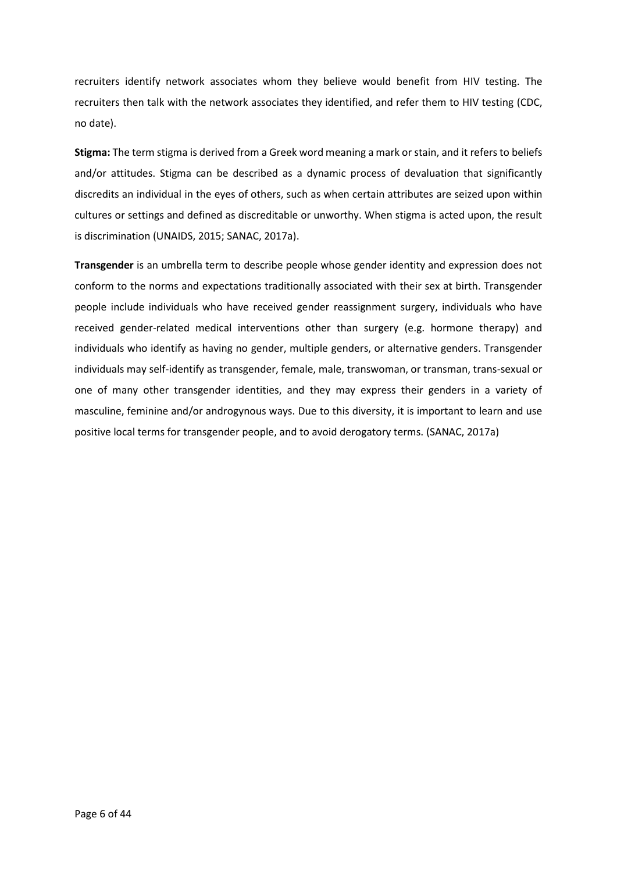recruiters identify network associates whom they believe would benefit from HIV testing. The recruiters then talk with the network associates they identified, and refer them to HIV testing (CDC, no date).

**Stigma:** The term stigma is derived from a Greek word meaning a mark or stain, and it refers to beliefs and/or attitudes. Stigma can be described as a dynamic process of devaluation that significantly discredits an individual in the eyes of others, such as when certain attributes are seized upon within cultures or settings and defined as discreditable or unworthy. When stigma is acted upon, the result is discrimination (UNAIDS, 2015; SANAC, 2017a).

**Transgender** is an umbrella term to describe people whose gender identity and expression does not conform to the norms and expectations traditionally associated with their sex at birth. Transgender people include individuals who have received gender reassignment surgery, individuals who have received gender-related medical interventions other than surgery (e.g. hormone therapy) and individuals who identify as having no gender, multiple genders, or alternative genders. Transgender individuals may self-identify as transgender, female, male, transwoman, or transman, trans-sexual or one of many other transgender identities, and they may express their genders in a variety of masculine, feminine and/or androgynous ways. Due to this diversity, it is important to learn and use positive local terms for transgender people, and to avoid derogatory terms. (SANAC, 2017a)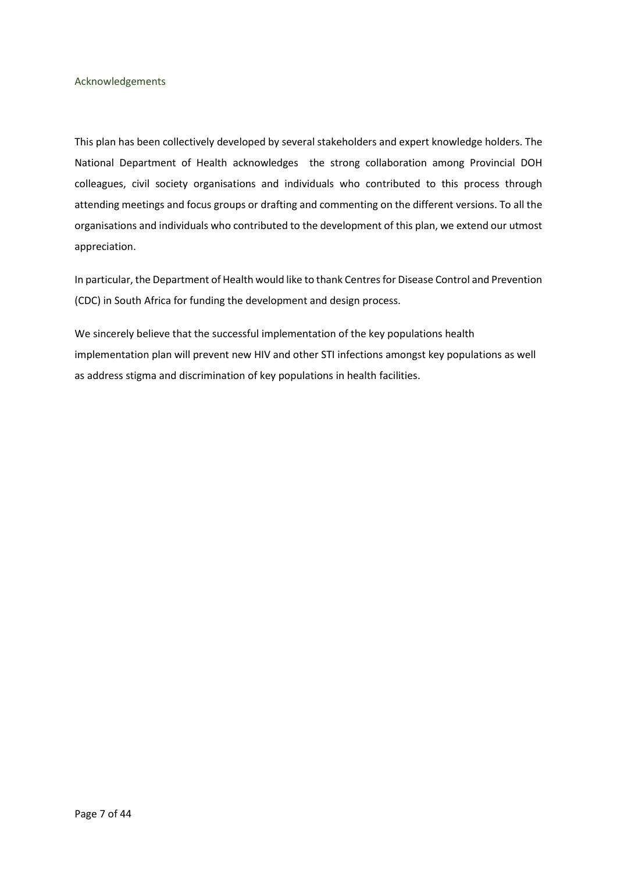# <span id="page-10-0"></span>Acknowledgements

This plan has been collectively developed by several stakeholders and expert knowledge holders. The National Department of Health acknowledges the strong collaboration among Provincial DOH colleagues, civil society organisations and individuals who contributed to this process through attending meetings and focus groups or drafting and commenting on the different versions. To all the organisations and individuals who contributed to the development of this plan, we extend our utmost appreciation.

In particular, the Department of Health would like to thank Centres for Disease Control and Prevention (CDC) in South Africa for funding the development and design process.

We sincerely believe that the successful implementation of the key populations health implementation plan will prevent new HIV and other STI infections amongst key populations as well as address stigma and discrimination of key populations in health facilities.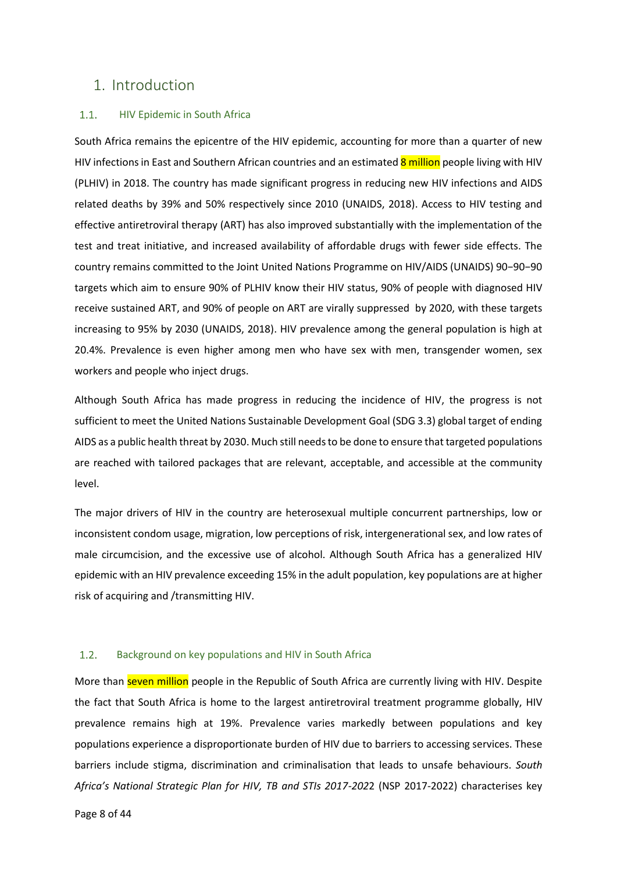# <span id="page-11-1"></span><span id="page-11-0"></span>1. Introduction

#### $1.1.$ HIV Epidemic in South Africa

South Africa remains the epicentre of the HIV epidemic, accounting for more than a quarter of new HIV infections in East and Southern African countries and an estimated 8 million people living with HIV (PLHIV) in 2018. The country has made significant progress in reducing new HIV infections and AIDS related deaths by 39% and 50% respectively since 2010 (UNAIDS, 2018). Access to HIV testing and effective antiretroviral therapy (ART) has also improved substantially with the implementation of the test and treat initiative, and increased availability of affordable drugs with fewer side effects. The country remains committed to the Joint United Nations Programme on HIV/AIDS (UNAIDS) 90−90−90 targets which aim to ensure 90% of PLHIV know their HIV status, 90% of people with diagnosed HIV receive sustained ART, and 90% of people on ART are virally suppressed by 2020, with these targets increasing to 95% by 2030 (UNAIDS, 2018). HIV prevalence among the general population is high at 20.4%. Prevalence is even higher among men who have sex with men, transgender women, sex workers and people who inject drugs.

Although South Africa has made progress in reducing the incidence of HIV, the progress is not sufficient to meet the United Nations Sustainable Development Goal (SDG 3.3) global target of ending AIDS as a public health threat by 2030. Much still needs to be done to ensure that targeted populations are reached with tailored packages that are relevant, acceptable, and accessible at the community level.

The major drivers of HIV in the country are heterosexual multiple concurrent partnerships, low or inconsistent condom usage, migration, low perceptions of risk, intergenerational sex, and low rates of male circumcision, and the excessive use of alcohol. Although South Africa has a generalized HIV epidemic with an HIV prevalence exceeding 15% in the adult population, key populations are at higher risk of acquiring and /transmitting HIV.

#### <span id="page-11-2"></span> $1.2.$ Background on key populations and HIV in South Africa

More than seven million people in the Republic of South Africa are currently living with HIV. Despite the fact that South Africa is home to the largest antiretroviral treatment programme globally, HIV prevalence remains high at 19%. Prevalence varies markedly between populations and key populations experience a disproportionate burden of HIV due to barriers to accessing services. These barriers include stigma, discrimination and criminalisation that leads to unsafe behaviours. *South Africa's National Strategic Plan for HIV, TB and STIs 2017-202*2 (NSP 2017-2022) characterises key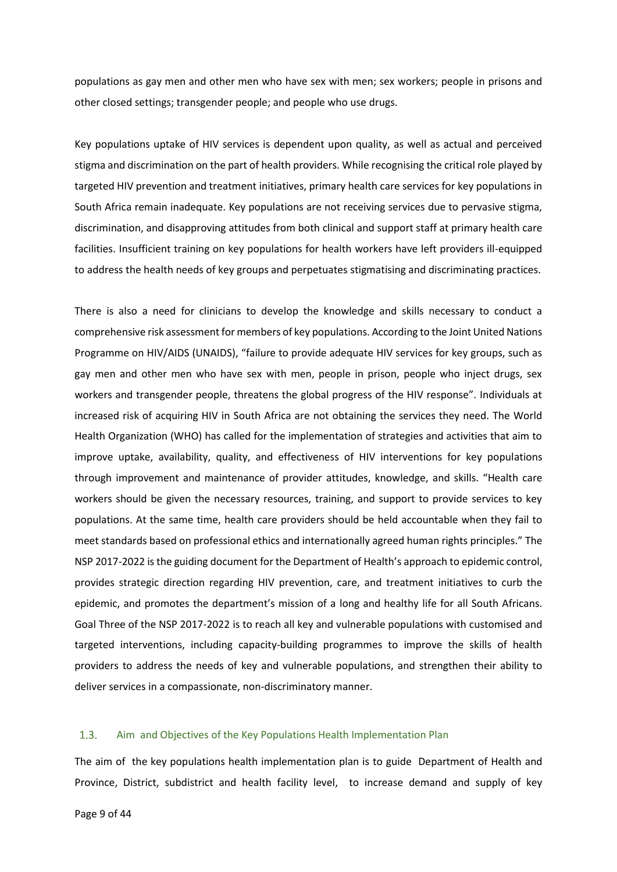populations as gay men and other men who have sex with men; sex workers; people in prisons and other closed settings; transgender people; and people who use drugs.

Key populations uptake of HIV services is dependent upon quality, as well as actual and perceived stigma and discrimination on the part of health providers. While recognising the critical role played by targeted HIV prevention and treatment initiatives, primary health care services for key populations in South Africa remain inadequate. Key populations are not receiving services due to pervasive stigma, discrimination, and disapproving attitudes from both clinical and support staff at primary health care facilities. Insufficient training on key populations for health workers have left providers ill-equipped to address the health needs of key groups and perpetuates stigmatising and discriminating practices.

There is also a need for clinicians to develop the knowledge and skills necessary to conduct a comprehensive risk assessment for members of key populations. According to the Joint United Nations Programme on HIV/AIDS (UNAIDS), "failure to provide adequate HIV services for key groups, such as gay men and other men who have sex with men, people in prison, people who inject drugs, sex workers and transgender people, threatens the global progress of the HIV response". Individuals at increased risk of acquiring HIV in South Africa are not obtaining the services they need. The World Health Organization (WHO) has called for the implementation of strategies and activities that aim to improve uptake, availability, quality, and effectiveness of HIV interventions for key populations through improvement and maintenance of provider attitudes, knowledge, and skills. "Health care workers should be given the necessary resources, training, and support to provide services to key populations. At the same time, health care providers should be held accountable when they fail to meet standards based on professional ethics and internationally agreed human rights principles." The NSP 2017-2022 is the guiding document for the Department of Health's approach to epidemic control, provides strategic direction regarding HIV prevention, care, and treatment initiatives to curb the epidemic, and promotes the department's mission of a long and healthy life for all South Africans. Goal Three of the NSP 2017-2022 is to reach all key and vulnerable populations with customised and targeted interventions, including capacity-building programmes to improve the skills of health providers to address the needs of key and vulnerable populations, and strengthen their ability to deliver services in a compassionate, non-discriminatory manner.

#### <span id="page-12-0"></span> $1.3.$ Aim and Objectives of the Key Populations Health Implementation Plan

The aim of the key populations health implementation plan is to guide Department of Health and Province, District, subdistrict and health facility level, to increase demand and supply of key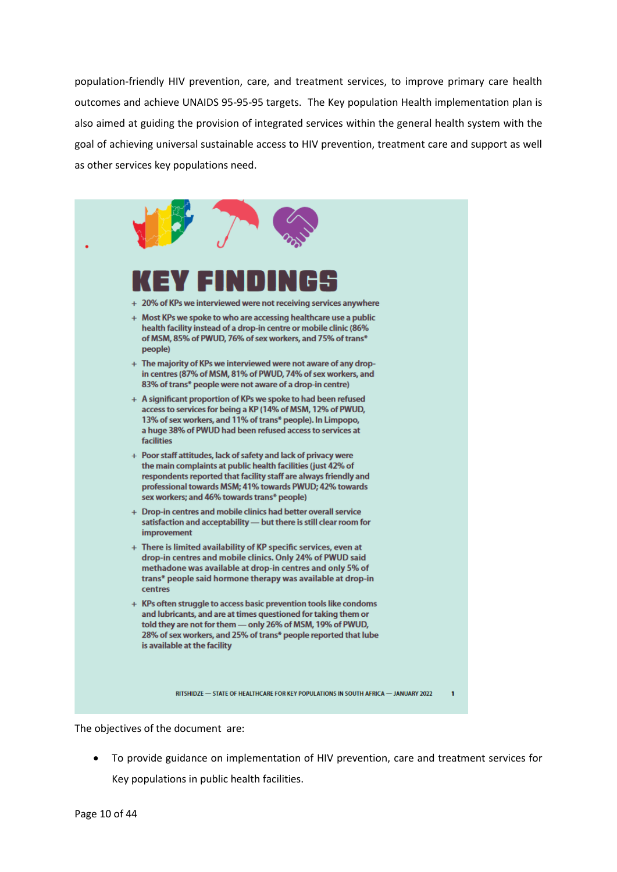population-friendly HIV prevention, care, and treatment services, to improve primary care health outcomes and achieve UNAIDS 95-95-95 targets. The Key population Health implementation plan is also aimed at guiding the provision of integrated services within the general health system with the goal of achieving universal sustainable access to HIV prevention, treatment care and support as well as other services key populations need.



The objectives of the document are:

• To provide guidance on implementation of HIV prevention, care and treatment services for Key populations in public health facilities.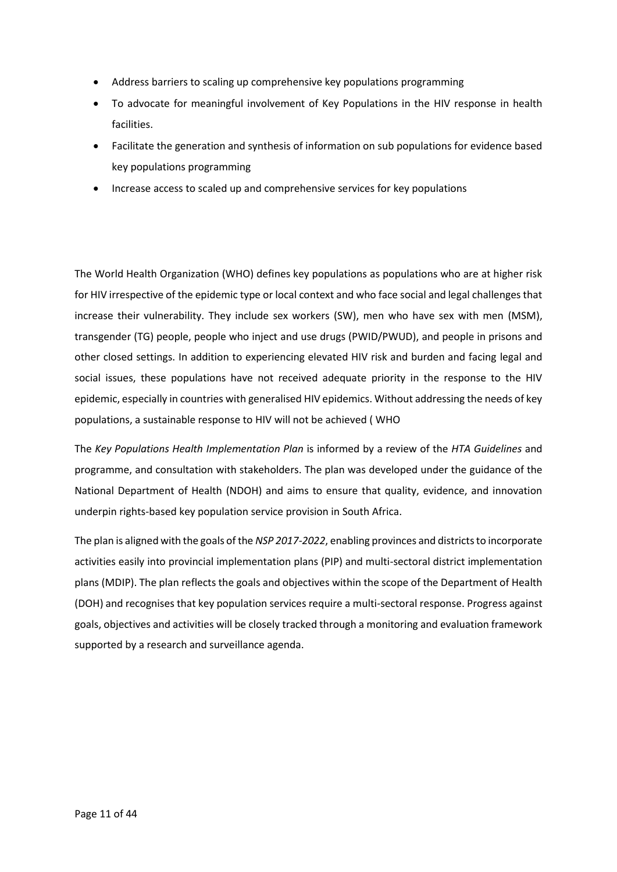- Address barriers to scaling up comprehensive key populations programming
- To advocate for meaningful involvement of Key Populations in the HIV response in health facilities.
- Facilitate the generation and synthesis of information on sub populations for evidence based key populations programming
- Increase access to scaled up and comprehensive services for key populations

The World Health Organization (WHO) defines key populations as populations who are at higher risk for HIV irrespective of the epidemic type or local context and who face social and legal challenges that increase their vulnerability. They include sex workers (SW), men who have sex with men (MSM), transgender (TG) people, people who inject and use drugs (PWID/PWUD), and people in prisons and other closed settings. In addition to experiencing elevated HIV risk and burden and facing legal and social issues, these populations have not received adequate priority in the response to the HIV epidemic, especially in countries with generalised HIV epidemics. Without addressing the needs of key populations, a sustainable response to HIV will not be achieved ( WHO

The *Key Populations Health Implementation Plan* is informed by a review of the *HTA Guidelines* and programme, and consultation with stakeholders. The plan was developed under the guidance of the National Department of Health (NDOH) and aims to ensure that quality, evidence, and innovation underpin rights-based key population service provision in South Africa.

The plan is aligned with the goals of the *NSP 2017-2022*, enabling provinces and districts to incorporate activities easily into provincial implementation plans (PIP) and multi-sectoral district implementation plans (MDIP). The plan reflects the goals and objectives within the scope of the Department of Health (DOH) and recognises that key population services require a multi-sectoral response. Progress against goals, objectives and activities will be closely tracked through a monitoring and evaluation framework supported by a research and surveillance agenda.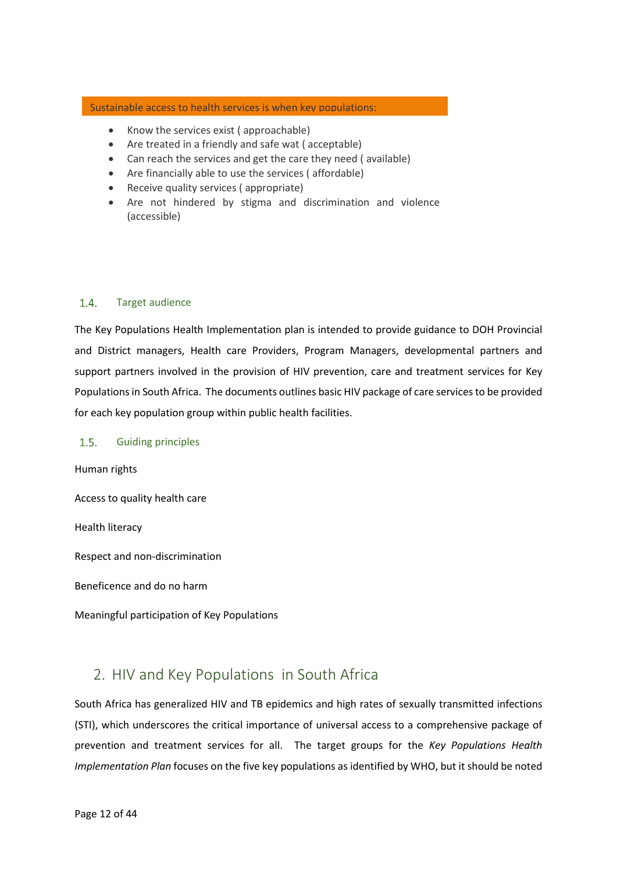# Sustainable access to health services is when key populations:

- Know the services exist ( approachable)
- Are treated in a friendly and safe wat ( acceptable)
- Can reach the services and get the care they need ( available)
- Are financially able to use the services ( affordable)
- Receive quality services ( appropriate)
- Are not hindered by stigma and discrimination and violence (accessible)

#### <span id="page-15-0"></span> $1.4.$ Target audience

The Key Populations Health Implementation plan is intended to provide guidance to DOH Provincial and District managers, Health care Providers, Program Managers, developmental partners and support partners involved in the provision of HIV prevention, care and treatment services for Key Populations in South Africa. The documents outlines basic HIV package of care services to be provided for each key population group within public health facilities.

#### <span id="page-15-1"></span> $1.5.$ Guiding principles

Human rights

Access to quality health care

Health literacy

Respect and non-discrimination

Beneficence and do no harm

Meaningful participation of Key Populations

# <span id="page-15-2"></span>2. HIV and Key Populations in South Africa

South Africa has generalized HIV and TB epidemics and high rates of sexually transmitted infections (STI), which underscores the critical importance of universal access to a comprehensive package of prevention and treatment services for all. The target groups for the *Key Populations Health Implementation Plan* focuses on the five key populations as identified by WHO, but it should be noted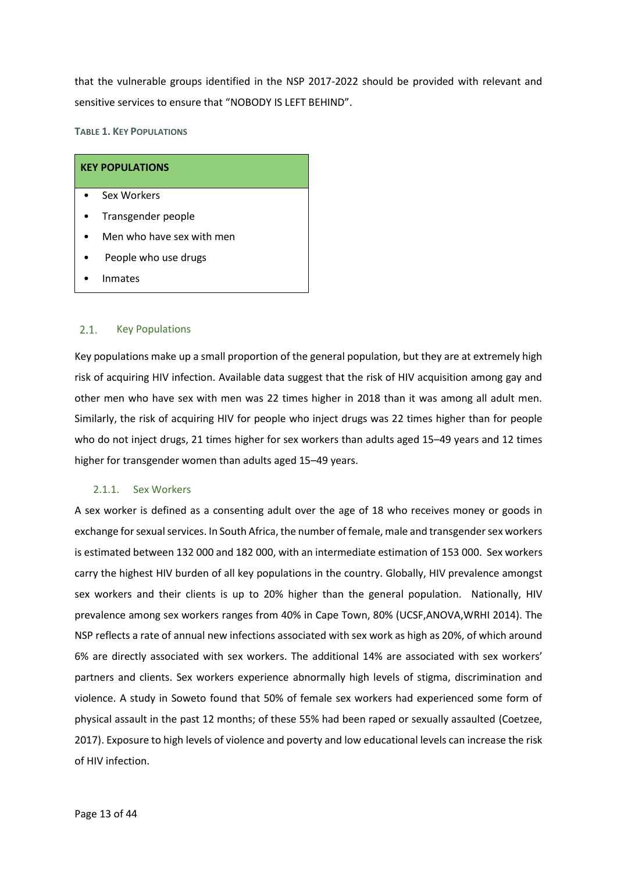that the vulnerable groups identified in the NSP 2017-2022 should be provided with relevant and sensitive services to ensure that "NOBODY IS LEFT BEHIND".

<span id="page-16-2"></span>**TABLE 1. KEY POPULATIONS** 

| <b>KEY POPULATIONS</b>    |  |  |
|---------------------------|--|--|
| Sex Workers               |  |  |
| Transgender people        |  |  |
| Men who have sex with men |  |  |
| People who use drugs      |  |  |
| Inmates                   |  |  |

#### <span id="page-16-0"></span> $2.1.$ Key Populations

Key populations make up a small proportion of the general population, but they are at extremely high risk of acquiring HIV infection. Available data suggest that the risk of HIV acquisition among gay and other men who have sex with men was 22 times higher in 2018 than it was among all adult men. Similarly, the risk of acquiring HIV for people who inject drugs was 22 times higher than for people who do not inject drugs, 21 times higher for sex workers than adults aged 15–49 years and 12 times higher for transgender women than adults aged 15–49 years.

# <span id="page-16-1"></span>2.1.1. Sex Workers

A sex worker is defined as a consenting adult over the age of 18 who receives money or goods in exchange for sexual services. In South Africa, the number of female, male and transgender sex workers is estimated between 132 000 and 182 000, with an intermediate estimation of 153 000. Sex workers carry the highest HIV burden of all key populations in the country. Globally, HIV prevalence amongst sex workers and their clients is up to 20% higher than the general population. Nationally, HIV prevalence among sex workers ranges from 40% in Cape Town, 80% (UCSF,ANOVA,WRHI 2014). The NSP reflects a rate of annual new infections associated with sex work as high as 20%, of which around 6% are directly associated with sex workers. The additional 14% are associated with sex workers' partners and clients. Sex workers experience abnormally high levels of stigma, discrimination and violence. A study in Soweto found that 50% of female sex workers had experienced some form of physical assault in the past 12 months; of these 55% had been raped or sexually assaulted (Coetzee, 2017). Exposure to high levels of violence and poverty and low educational levels can increase the risk of HIV infection.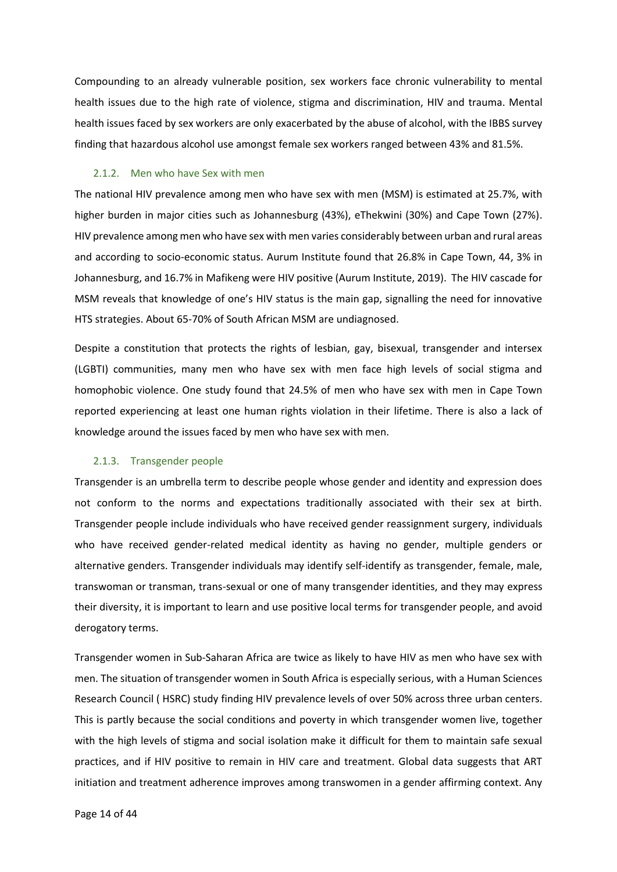Compounding to an already vulnerable position, sex workers face chronic vulnerability to mental health issues due to the high rate of violence, stigma and discrimination, HIV and trauma. Mental health issues faced by sex workers are only exacerbated by the abuse of alcohol, with the IBBS survey finding that hazardous alcohol use amongst female sex workers ranged between 43% and 81.5%.

### <span id="page-17-0"></span>2.1.2. Men who have Sex with men

The national HIV prevalence among men who have sex with men (MSM) is estimated at 25.7%, with higher burden in major cities such as Johannesburg (43%), eThekwini (30%) and Cape Town (27%). HIV prevalence among men who have sex with men varies considerably between urban and rural areas and according to socio-economic status. Aurum Institute found that 26.8% in Cape Town, 44, 3% in Johannesburg, and 16.7% in Mafikeng were HIV positive (Aurum Institute, 2019). The HIV cascade for MSM reveals that knowledge of one's HIV status is the main gap, signalling the need for innovative HTS strategies. About 65-70% of South African MSM are undiagnosed.

Despite a constitution that protects the rights of lesbian, gay, bisexual, transgender and intersex (LGBTI) communities, many men who have sex with men face high levels of social stigma and homophobic violence. One study found that 24.5% of men who have sex with men in Cape Town reported experiencing at least one human rights violation in their lifetime. There is also a lack of knowledge around the issues faced by men who have sex with men.

### <span id="page-17-1"></span>2.1.3. Transgender people

Transgender is an umbrella term to describe people whose gender and identity and expression does not conform to the norms and expectations traditionally associated with their sex at birth. Transgender people include individuals who have received gender reassignment surgery, individuals who have received gender-related medical identity as having no gender, multiple genders or alternative genders. Transgender individuals may identify self-identify as transgender, female, male, transwoman or transman, trans-sexual or one of many transgender identities, and they may express their diversity, it is important to learn and use positive local terms for transgender people, and avoid derogatory terms.

Transgender women in Sub-Saharan Africa are twice as likely to have HIV as men who have sex with men. The situation of transgender women in South Africa is especially serious, with a Human Sciences Research Council ( HSRC) study finding HIV prevalence levels of over 50% across three urban centers. This is partly because the social conditions and poverty in which transgender women live, together with the high levels of stigma and social isolation make it difficult for them to maintain safe sexual practices, and if HIV positive to remain in HIV care and treatment. Global data suggests that ART initiation and treatment adherence improves among transwomen in a gender affirming context. Any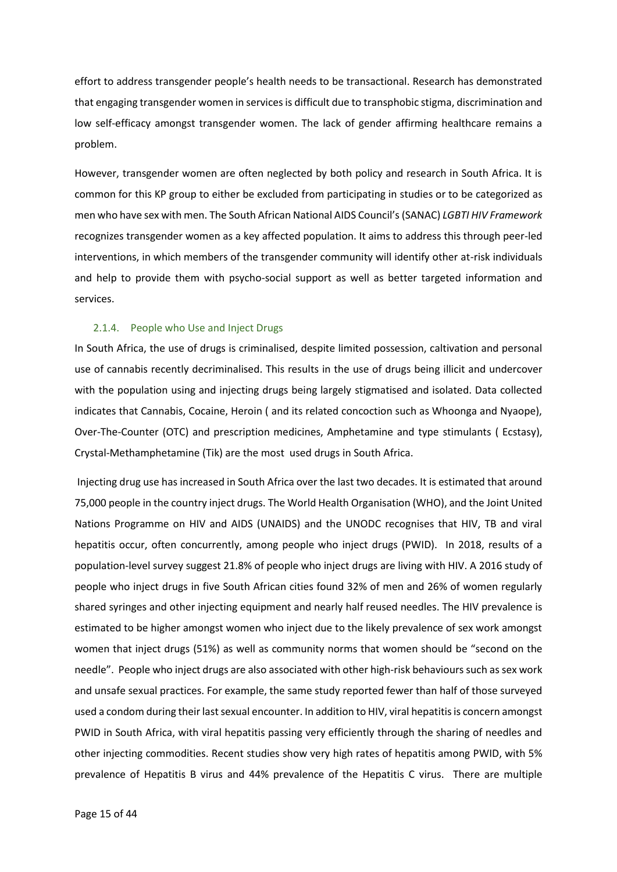effort to address transgender people's health needs to be transactional. Research has demonstrated that engaging transgender women in services is difficult due to transphobic stigma, discrimination and low self-efficacy amongst transgender women. The lack of gender affirming healthcare remains a problem.

However, transgender women are often neglected by both policy and research in South Africa. It is common for this KP group to either be excluded from participating in studies or to be categorized as men who have sex with men. The South African National AIDS Council's (SANAC) *LGBTI HIV Framework* recognizes transgender women as a key affected population. It aims to address this through peer-led interventions, in which members of the transgender community will identify other at-risk individuals and help to provide them with psycho-social support as well as better targeted information and services.

### <span id="page-18-0"></span>2.1.4. People who Use and Inject Drugs

In South Africa, the use of drugs is criminalised, despite limited possession, caltivation and personal use of cannabis recently decriminalised. This results in the use of drugs being illicit and undercover with the population using and injecting drugs being largely stigmatised and isolated. Data collected indicates that Cannabis, Cocaine, Heroin ( and its related concoction such as Whoonga and Nyaope), Over-The-Counter (OTC) and prescription medicines, Amphetamine and type stimulants ( Ecstasy), Crystal-Methamphetamine (Tik) are the most used drugs in South Africa.

Injecting drug use has increased in South Africa over the last two decades. It is estimated that around 75,000 people in the country inject drugs. The World Health Organisation (WHO), and the Joint United Nations Programme on HIV and AIDS (UNAIDS) and the UNODC recognises that HIV, TB and viral hepatitis occur, often concurrently, among people who inject drugs (PWID). In 2018, results of a population-level survey suggest 21.8% of people who inject drugs are living with HIV. A 2016 study of people who inject drugs in five South African cities found 32% of men and 26% of women regularly shared syringes and other injecting equipment and nearly half reused needles. The HIV prevalence is estimated to be higher amongst women who inject due to the likely prevalence of sex work amongst women that inject drugs (51%) as well as community norms that women should be "second on the needle". People who inject drugs are also associated with other high-risk behaviours such as sex work and unsafe sexual practices. For example, the same study reported fewer than half of those surveyed used a condom during their last sexual encounter. In addition to HIV, viral hepatitis is concern amongst PWID in South Africa, with viral hepatitis passing very efficiently through the sharing of needles and other injecting commodities. Recent studies show very high rates of hepatitis among PWID, with 5% prevalence of Hepatitis B virus and 44% prevalence of the Hepatitis C virus. There are multiple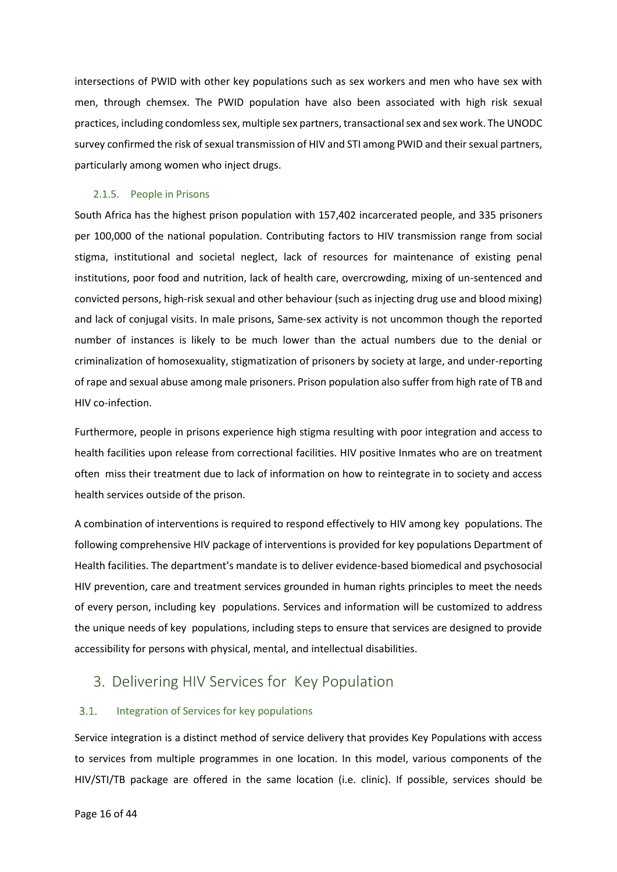intersections of PWID with other key populations such as sex workers and men who have sex with men, through chemsex. The PWID population have also been associated with high risk sexual practices, including condomless sex, multiple sex partners, transactional sex and sex work. The UNODC survey confirmed the risk of sexual transmission of HIV and STI among PWID and their sexual partners, particularly among women who inject drugs.

# <span id="page-19-0"></span>2.1.5. People in Prisons

South Africa has the highest prison population with 157,402 incarcerated people, and 335 prisoners per 100,000 of the national population. Contributing factors to HIV transmission range from social stigma, institutional and societal neglect, lack of resources for maintenance of existing penal institutions, poor food and nutrition, lack of health care, overcrowding, mixing of un-sentenced and convicted persons, high-risk sexual and other behaviour (such as injecting drug use and blood mixing) and lack of conjugal visits. In male prisons, Same-sex activity is not uncommon though the reported number of instances is likely to be much lower than the actual numbers due to the denial or criminalization of homosexuality, stigmatization of prisoners by society at large, and under-reporting of rape and sexual abuse among male prisoners. Prison population also suffer from high rate of TB and HIV co-infection.

Furthermore, people in prisons experience high stigma resulting with poor integration and access to health facilities upon release from correctional facilities. HIV positive Inmates who are on treatment often miss their treatment due to lack of information on how to reintegrate in to society and access health services outside of the prison.

A combination of interventions is required to respond effectively to HIV among key populations. The following comprehensive HIV package of interventions is provided for key populations Department of Health facilities. The department's mandate is to deliver evidence-based biomedical and psychosocial HIV prevention, care and treatment services grounded in human rights principles to meet the needs of every person, including key populations. Services and information will be customized to address the unique needs of key populations, including steps to ensure that services are designed to provide accessibility for persons with physical, mental, and intellectual disabilities.

# <span id="page-19-1"></span>3. Delivering HIV Services for Key Population

#### <span id="page-19-2"></span>Integration of Services for key populations  $3.1.$

Service integration is a distinct method of service delivery that provides Key Populations with access to services from multiple programmes in one location. In this model, various components of the HIV/STI/TB package are offered in the same location (i.e. clinic). If possible, services should be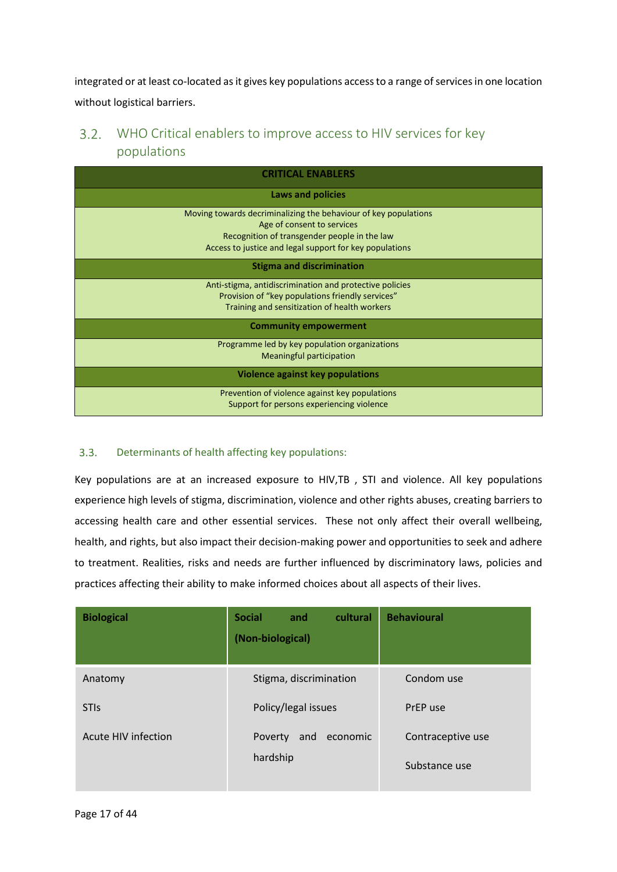integrated or at least co-located as it gives key populations access to a range of services in one location without logistical barriers.

### <span id="page-20-0"></span> $3.2.$ WHO Critical enablers to improve access to HIV services for key populations

| <b>CRITICAL ENABLERS</b>                                        |  |  |
|-----------------------------------------------------------------|--|--|
| <b>Laws and policies</b>                                        |  |  |
| Moving towards decriminalizing the behaviour of key populations |  |  |
| Age of consent to services                                      |  |  |
| Recognition of transgender people in the law                    |  |  |
| Access to justice and legal support for key populations         |  |  |
| <b>Stigma and discrimination</b>                                |  |  |
| Anti-stigma, antidiscrimination and protective policies         |  |  |
| Provision of "key populations friendly services"                |  |  |
| Training and sensitization of health workers                    |  |  |
| <b>Community empowerment</b>                                    |  |  |
| Programme led by key population organizations                   |  |  |
| <b>Meaningful participation</b>                                 |  |  |
| Violence against key populations                                |  |  |
| Prevention of violence against key populations                  |  |  |
| Support for persons experiencing violence                       |  |  |

#### <span id="page-20-1"></span> $3.3.$ Determinants of health affecting key populations:

Key populations are at an increased exposure to HIV,TB , STI and violence. All key populations experience high levels of stigma, discrimination, violence and other rights abuses, creating barriers to accessing health care and other essential services. These not only affect their overall wellbeing, health, and rights, but also impact their decision-making power and opportunities to seek and adhere to treatment. Realities, risks and needs are further influenced by discriminatory laws, policies and practices affecting their ability to make informed choices about all aspects of their lives.

| <b>Biological</b>   | cultural<br><b>Social</b><br>and<br>(Non-biological) | <b>Behavioural</b> |
|---------------------|------------------------------------------------------|--------------------|
| Anatomy             | Stigma, discrimination                               | Condom use         |
| <b>STIS</b>         | Policy/legal issues                                  | PrEP use           |
| Acute HIV infection | and<br>economic<br>Poverty                           | Contraceptive use  |
|                     | hardship                                             | Substance use      |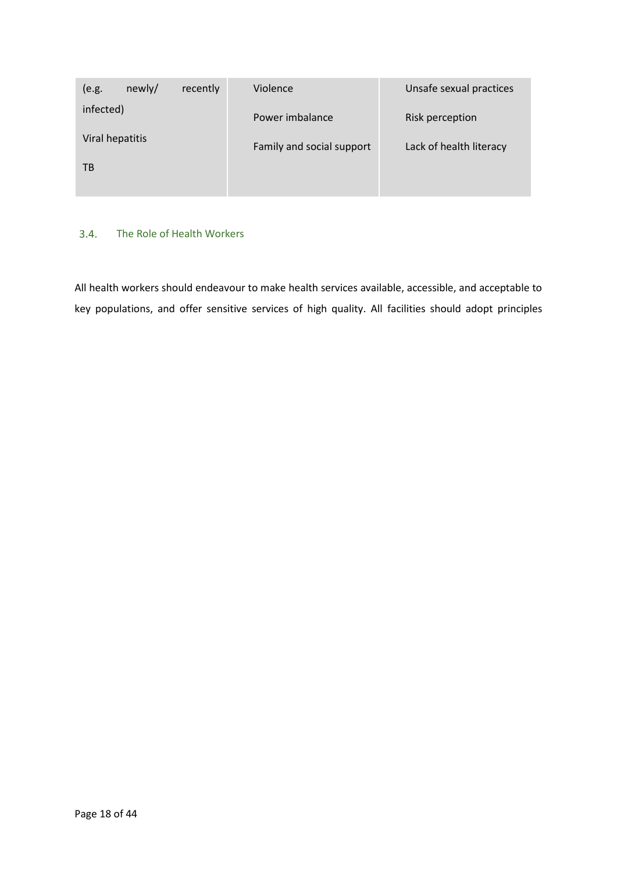| (e.g.           | newly/ | recently | Violence                  | Unsafe sexual practices |
|-----------------|--------|----------|---------------------------|-------------------------|
| infected)       |        |          | Power imbalance           | Risk perception         |
| Viral hepatitis |        |          | Family and social support | Lack of health literacy |
| ТB              |        |          |                           |                         |
|                 |        |          |                           |                         |

# <span id="page-21-0"></span>3.4. The Role of Health Workers

All health workers should endeavour to make health services available, accessible, and acceptable to key populations, and offer sensitive services of high quality. All facilities should adopt principles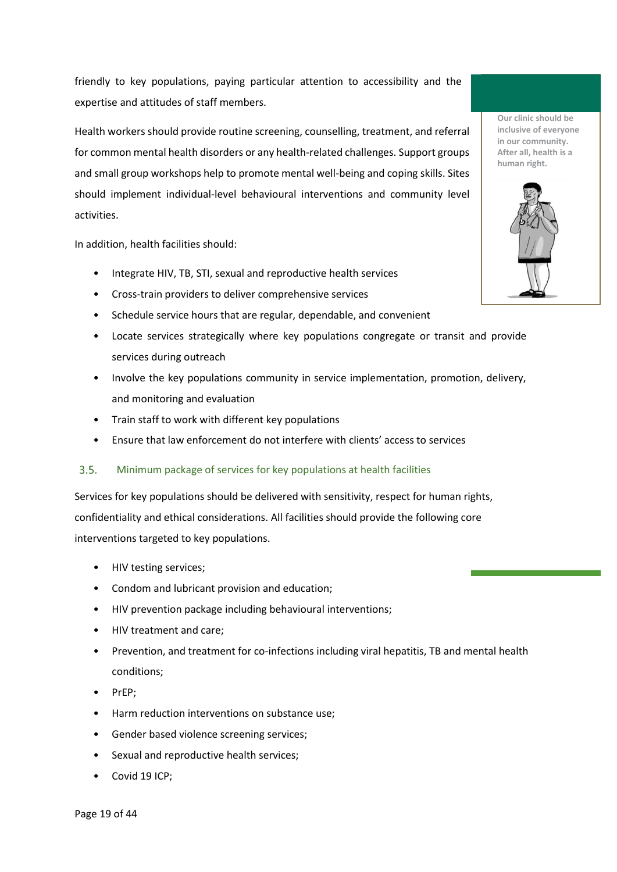friendly to key populations, paying particular attention to accessibility and the expertise and attitudes of staff members.

Health workers should provide routine screening, counselling, treatment, and referral for common mental health disorders or any health-related challenges. Support groups and small group workshops help to promote mental well-being and coping skills. Sites should implement individual-level behavioural interventions and community level activities.

In addition, health facilities should:

- Integrate HIV, TB, STI, sexual and reproductive health services
- Cross-train providers to deliver comprehensive services
- Schedule service hours that are regular, dependable, and convenient
- Locate services strategically where key populations congregate or transit and provide services during outreach
- Involve the key populations community in service implementation, promotion, delivery, and monitoring and evaluation
- Train staff to work with different key populations
- Ensure that law enforcement do not interfere with clients' access to services

#### <span id="page-22-0"></span> $3.5.$ Minimum package of services for key populations at health facilities

Services for key populations should be delivered with sensitivity, respect for human rights, confidentiality and ethical considerations. All facilities should provide the following core interventions targeted to key populations.

- HIV testing services;
- Condom and lubricant provision and education;
- HIV prevention package including behavioural interventions;
- HIV treatment and care;
- Prevention, and treatment for co-infections including viral hepatitis, TB and mental health conditions;
- PrEP;
- Harm reduction interventions on substance use;
- Gender based violence screening services;
- Sexual and reproductive health services:
- Covid 19 ICP;

**Our clinic should be inclusive of everyone in our community. After all, health is a human right.**

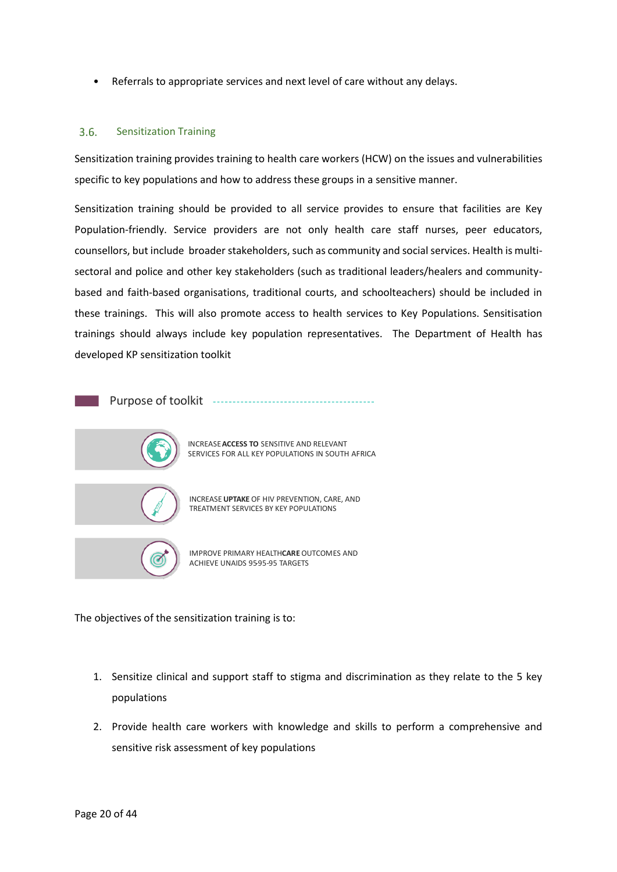• Referrals to appropriate services and next level of care without any delays.

#### <span id="page-23-0"></span> $3.6.$ Sensitization Training

Sensitization training provides training to health care workers (HCW) on the issues and vulnerabilities specific to key populations and how to address these groups in a sensitive manner.

Sensitization training should be provided to all service provides to ensure that facilities are Key Population-friendly. Service providers are not only health care staff nurses, peer educators, counsellors, but include broader stakeholders, such as community and social services. Health is multisectoral and police and other key stakeholders (such as traditional leaders/healers and communitybased and faith-based organisations, traditional courts, and schoolteachers) should be included in these trainings. This will also promote access to health services to Key Populations. Sensitisation trainings should always include key population representatives. The Department of Health has developed KP sensitization toolkit



The objectives of the sensitization training is to:

- 1. Sensitize clinical and support staff to stigma and discrimination as they relate to the 5 key populations
- 2. Provide health care workers with knowledge and skills to perform a comprehensive and sensitive risk assessment of key populations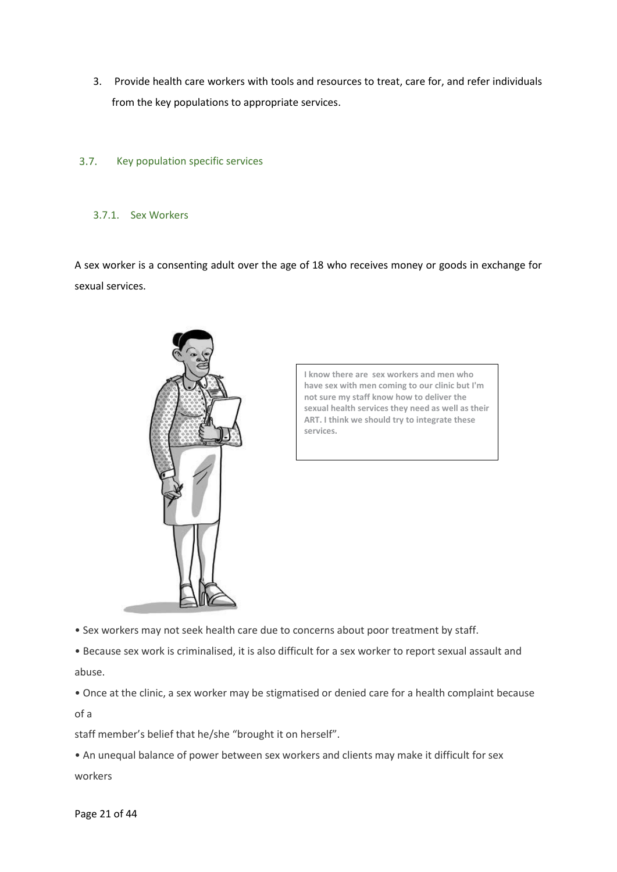3. Provide health care workers with tools and resources to treat, care for, and refer individuals from the key populations to appropriate services.

#### <span id="page-24-0"></span> $3.7.$ Key population specific services

<span id="page-24-1"></span>3.7.1. Sex Workers

A sex worker is a consenting adult over the age of 18 who receives money or goods in exchange for sexual services.



**I know there are sex workers and men who have sex with men coming to our clinic but I'm not sure my staff know how to deliver the sexual health services they need as well as their ART. I think we should try to integrate these services.**

• Sex workers may not seek health care due to concerns about poor treatment by staff.

• Because sex work is criminalised, it is also difficult for a sex worker to report sexual assault and abuse.

• Once at the clinic, a sex worker may be stigmatised or denied care for a health complaint because of a

staff member's belief that he/she "brought it on herself".

• An unequal balance of power between sex workers and clients may make it difficult for sex workers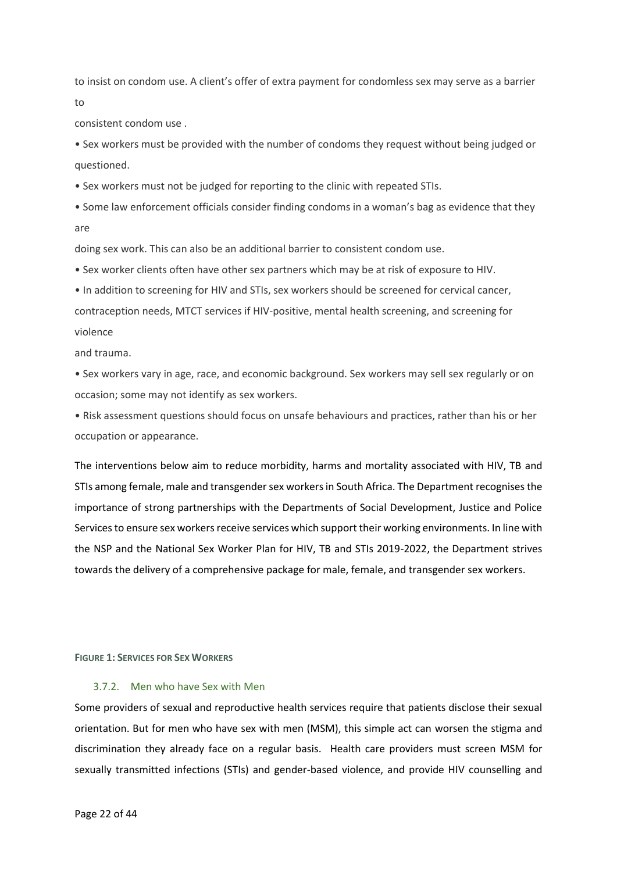to insist on condom use. A client's offer of extra payment for condomless sex may serve as a barrier to

consistent condom use .

• Sex workers must be provided with the number of condoms they request without being judged or questioned.

• Sex workers must not be judged for reporting to the clinic with repeated STIs.

• Some law enforcement officials consider finding condoms in a woman's bag as evidence that they are

doing sex work. This can also be an additional barrier to consistent condom use.

• Sex worker clients often have other sex partners which may be at risk of exposure to HIV.

• In addition to screening for HIV and STIs, sex workers should be screened for cervical cancer, contraception needs, MTCT services if HIV-positive, mental health screening, and screening for violence

and trauma.

• Sex workers vary in age, race, and economic background. Sex workers may sell sex regularly or on occasion; some may not identify as sex workers.

• Risk assessment questions should focus on unsafe behaviours and practices, rather than his or her occupation or appearance.

The interventions below aim to reduce morbidity, harms and mortality associated with HIV, TB and STIs among female, male and transgender sex workers in South Africa. The Department recognisesthe importance of strong partnerships with the Departments of Social Development, Justice and Police Services to ensure sex workers receive services which support their working environments. In line with the NSP and the National Sex Worker Plan for HIV, TB and STIs 2019-2022, the Department strives towards the delivery of a comprehensive package for male, female, and transgender sex workers.

<span id="page-25-1"></span>**FIGURE 1: SERVICES FOR SEX WORKERS**

# <span id="page-25-0"></span>3.7.2. Men who have Sex with Men

Some providers of sexual and reproductive health services require that patients disclose their sexual orientation. But for men who have sex with men (MSM), this simple act can worsen the stigma and discrimination they already face on a regular basis. Health care providers must screen MSM for sexually transmitted infections (STIs) and gender-based violence, and provide HIV counselling and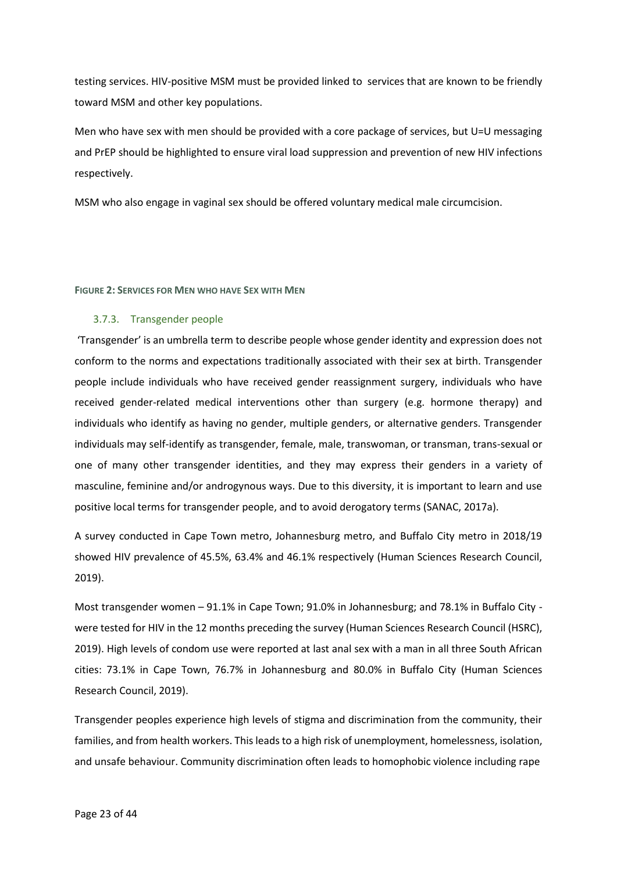testing services. HIV-positive MSM must be provided linked to services that are known to be friendly toward MSM and other key populations.

Men who have sex with men should be provided with a core package of services, but U=U messaging and PrEP should be highlighted to ensure viral load suppression and prevention of new HIV infections respectively.

MSM who also engage in vaginal sex should be offered voluntary medical male circumcision.

## <span id="page-26-1"></span>**FIGURE 2: SERVICES FOR MEN WHO HAVE SEX WITH MEN**

# <span id="page-26-0"></span>3.7.3. Transgender people

'Transgender' is an umbrella term to describe people whose gender identity and expression does not conform to the norms and expectations traditionally associated with their sex at birth. Transgender people include individuals who have received gender reassignment surgery, individuals who have received gender-related medical interventions other than surgery (e.g. hormone therapy) and individuals who identify as having no gender, multiple genders, or alternative genders. Transgender individuals may self-identify as transgender, female, male, transwoman, or transman, trans-sexual or one of many other transgender identities, and they may express their genders in a variety of masculine, feminine and/or androgynous ways. Due to this diversity, it is important to learn and use positive local terms for transgender people, and to avoid derogatory terms (SANAC, 2017a).

A survey conducted in Cape Town metro, Johannesburg metro, and Buffalo City metro in 2018/19 showed HIV prevalence of 45.5%, 63.4% and 46.1% respectively (Human Sciences Research Council, 2019).

Most transgender women – 91.1% in Cape Town; 91.0% in Johannesburg; and 78.1% in Buffalo City were tested for HIV in the 12 months preceding the survey (Human Sciences Research Council (HSRC), 2019). High levels of condom use were reported at last anal sex with a man in all three South African cities: 73.1% in Cape Town, 76.7% in Johannesburg and 80.0% in Buffalo City (Human Sciences Research Council, 2019).

Transgender peoples experience high levels of stigma and discrimination from the community, their families, and from health workers. This leads to a high risk of unemployment, homelessness, isolation, and unsafe behaviour. Community discrimination often leads to homophobic violence including rape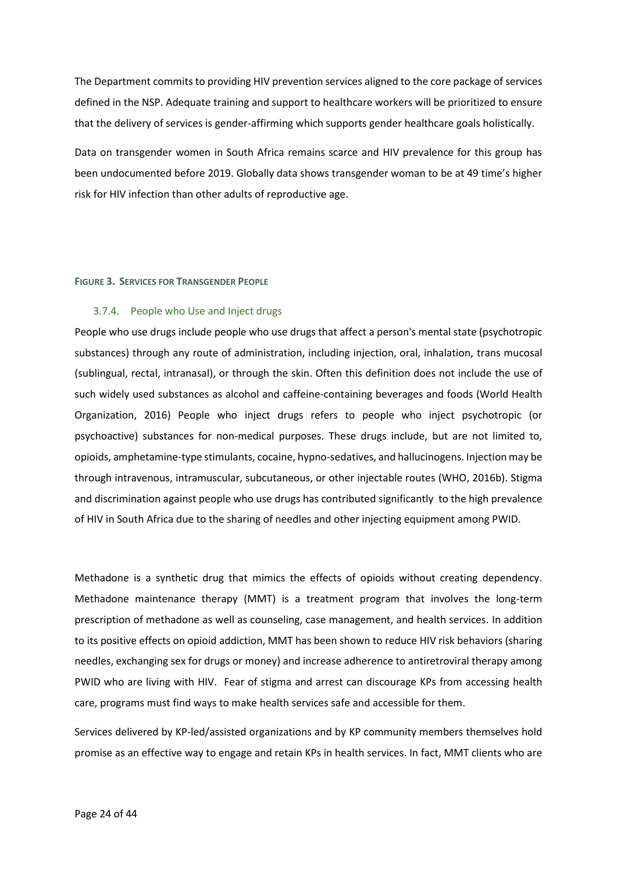The Department commits to providing HIV prevention services aligned to the core package of services defined in the NSP. Adequate training and support to healthcare workers will be prioritized to ensure that the delivery of services is gender-affirming which supports gender healthcare goals holistically.

Data on transgender women in South Africa remains scarce and HIV prevalence for this group has been undocumented before 2019. Globally data shows transgender woman to be at 49 time's higher risk for HIV infection than other adults of reproductive age.

### <span id="page-27-1"></span>**FIGURE 3. SERVICES FOR TRANSGENDER PEOPLE**

## <span id="page-27-0"></span>3.7.4. People who Use and Inject drugs

People who use drugs include people who use drugs that affect a person's mental state (psychotropic substances) through any route of administration, including injection, oral, inhalation, trans mucosal (sublingual, rectal, intranasal), or through the skin. Often this definition does not include the use of such widely used substances as alcohol and caffeine-containing beverages and foods (World Health Organization, 2016) People who inject drugs refers to people who inject psychotropic (or psychoactive) substances for non-medical purposes. These drugs include, but are not limited to, opioids, amphetamine-type stimulants, cocaine, hypno-sedatives, and hallucinogens. Injection may be through intravenous, intramuscular, subcutaneous, or other injectable routes (WHO, 2016b). Stigma and discrimination against people who use drugs has contributed significantly to the high prevalence of HIV in South Africa due to the sharing of needles and other injecting equipment among PWID.

Methadone is a synthetic drug that mimics the effects of opioids without creating dependency. Methadone maintenance therapy (MMT) is a treatment program that involves the long-term prescription of methadone as well as counseling, case management, and health services. In addition to its positive effects on opioid addiction, MMT has been shown to reduce HIV risk behaviors (sharing needles, exchanging sex for drugs or money) and increase adherence to antiretroviral therapy among PWID who are living with HIV. Fear of stigma and arrest can discourage KPs from accessing health care, programs must find ways to make health services safe and accessible for them.

Services delivered by KP-led/assisted organizations and by KP community members themselves hold promise as an effective way to engage and retain KPs in health services. In fact, MMT clients who are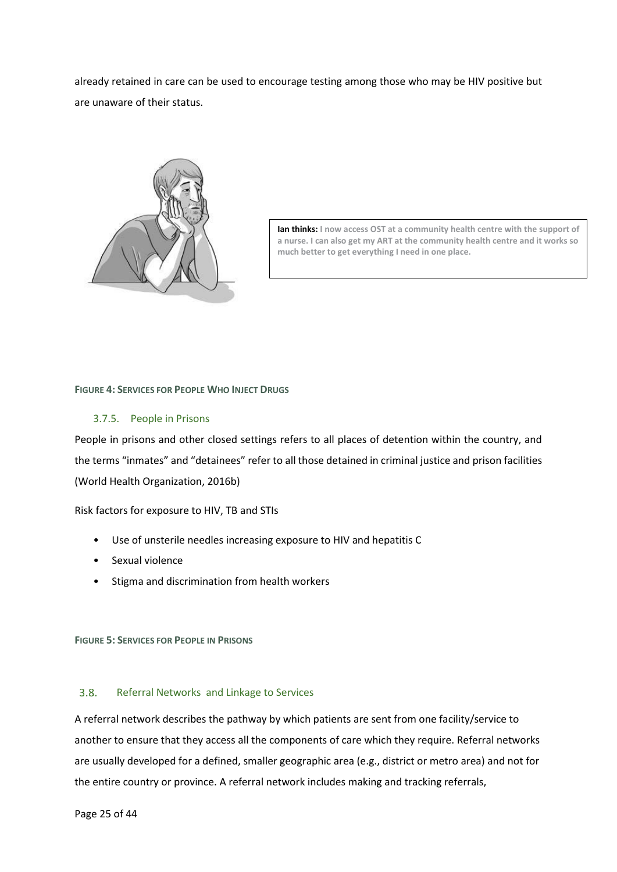already retained in care can be used to encourage testing among those who may be HIV positive but are unaware of their status.



**Ian thinks: I now access OST at a community health centre with the support of a nurse. I can also get my ART at the community health centre and it works so much better to get everything I need in one place.**

## <span id="page-28-2"></span>**FIGURE 4: SERVICES FOR PEOPLE WHO INJECT DRUGS**

# <span id="page-28-0"></span>3.7.5. People in Prisons

People in prisons and other closed settings refers to all places of detention within the country, and the terms "inmates" and "detainees" refer to all those detained in criminal justice and prison facilities (World Health Organization, 2016b)

Risk factors for exposure to HIV, TB and STIs

- Use of unsterile needles increasing exposure to HIV and hepatitis C
- Sexual violence
- Stigma and discrimination from health workers

<span id="page-28-3"></span>**FIGURE 5: SERVICES FOR PEOPLE IN PRISONS**

#### <span id="page-28-1"></span> $3.8.$ Referral Networks and Linkage to Services

A referral network describes the pathway by which patients are sent from one facility/service to another to ensure that they access all the components of care which they require. Referral networks are usually developed for a defined, smaller geographic area (e.g., district or metro area) and not for the entire country or province. A referral network includes making and tracking referrals,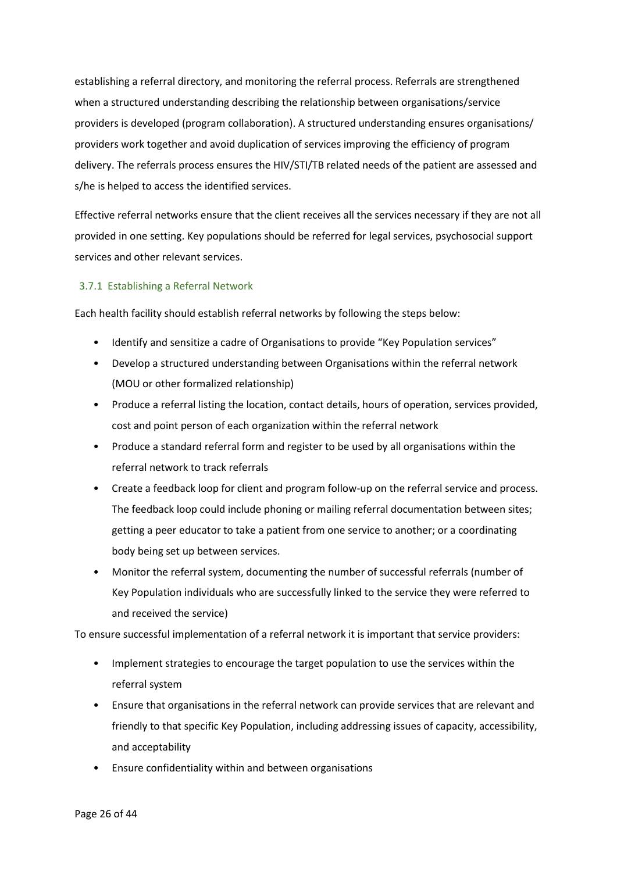establishing a referral directory, and monitoring the referral process. Referrals are strengthened when a structured understanding describing the relationship between organisations/service providers is developed (program collaboration). A structured understanding ensures organisations/ providers work together and avoid duplication of services improving the efficiency of program delivery. The referrals process ensures the HIV/STI/TB related needs of the patient are assessed and s/he is helped to access the identified services.

Effective referral networks ensure that the client receives all the services necessary if they are not all provided in one setting. Key populations should be referred for legal services, psychosocial support services and other relevant services.

# <span id="page-29-0"></span>3.7.1 Establishing a Referral Network

Each health facility should establish referral networks by following the steps below:

- Identify and sensitize a cadre of Organisations to provide "Key Population services"
- Develop a structured understanding between Organisations within the referral network (MOU or other formalized relationship)
- Produce a referral listing the location, contact details, hours of operation, services provided, cost and point person of each organization within the referral network
- Produce a standard referral form and register to be used by all organisations within the referral network to track referrals
- Create a feedback loop for client and program follow-up on the referral service and process. The feedback loop could include phoning or mailing referral documentation between sites; getting a peer educator to take a patient from one service to another; or a coordinating body being set up between services.
- Monitor the referral system, documenting the number of successful referrals (number of Key Population individuals who are successfully linked to the service they were referred to and received the service)

To ensure successful implementation of a referral network it is important that service providers:

- Implement strategies to encourage the target population to use the services within the referral system
- Ensure that organisations in the referral network can provide services that are relevant and friendly to that specific Key Population, including addressing issues of capacity, accessibility, and acceptability
- Ensure confidentiality within and between organisations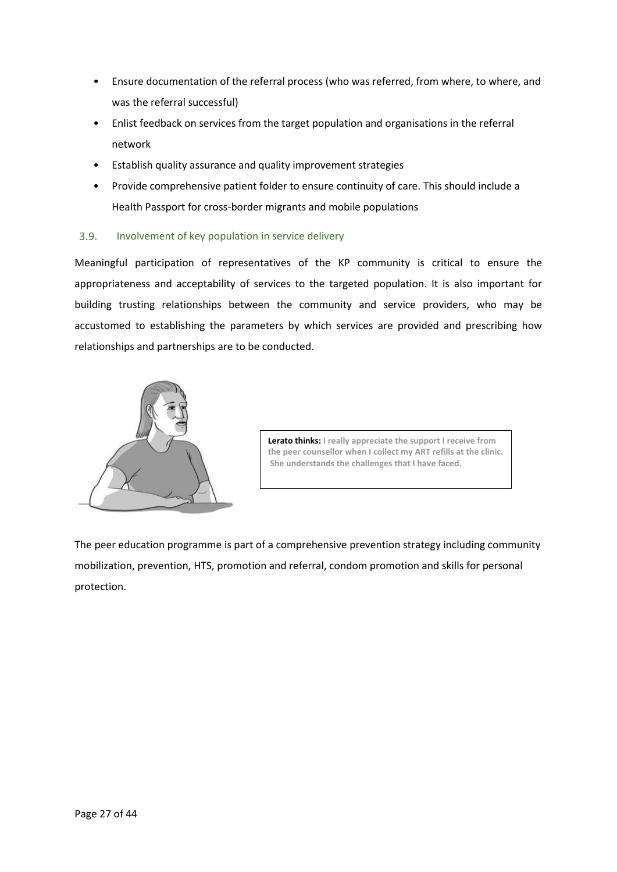- Ensure documentation of the referral process (who was referred, from where, to where, and was the referral successful)
- Enlist feedback on services from the target population and organisations in the referral network
- Establish quality assurance and quality improvement strategies
- Provide comprehensive patient folder to ensure continuity of care. This should include a Health Passport for cross-border migrants and mobile populations

#### <span id="page-30-0"></span> $3.9.$ Involvement of key population in service delivery

Meaningful participation of representatives of the KP community is critical to ensure the appropriateness and acceptability of services to the targeted population. It is also important for building trusting relationships between the community and service providers, who may be accustomed to establishing the parameters by which services are provided and prescribing how relationships and partnerships are to be conducted.



**Lerato thinks: I really appreciate the support I receive from the peer counsellor when I collect my ART refills at the clinic. She understands the challenges that I have faced.**

The peer education programme is part of a comprehensive prevention strategy including community mobilization, prevention, HTS, promotion and referral, condom promotion and skills for personal protection.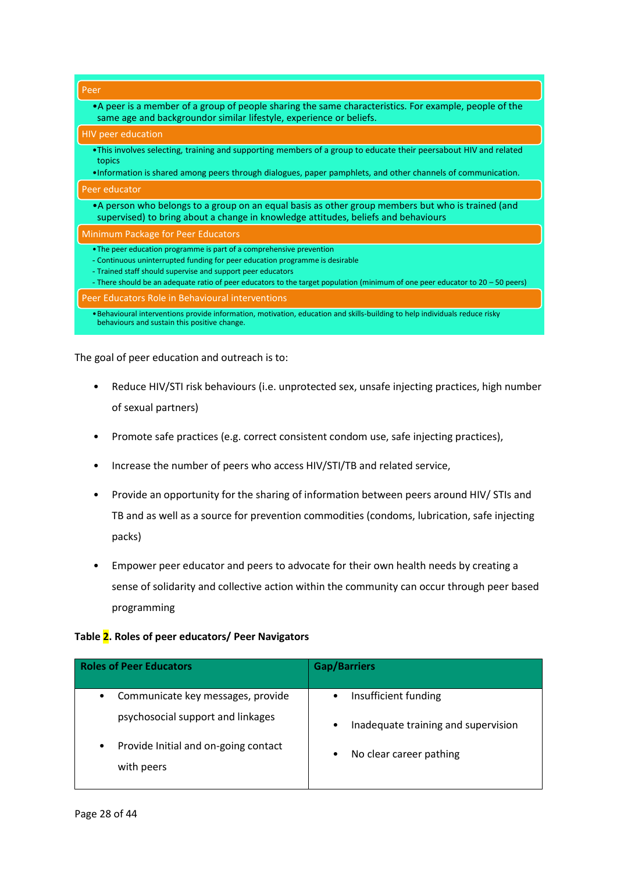| Peer                                                                                                                                                                                                                                                                                                                                                  |
|-------------------------------------------------------------------------------------------------------------------------------------------------------------------------------------------------------------------------------------------------------------------------------------------------------------------------------------------------------|
| • A peer is a member of a group of people sharing the same characteristics. For example, people of the<br>same age and backgroundor similar lifestyle, experience or beliefs.                                                                                                                                                                         |
| <b>HIV peer education</b>                                                                                                                                                                                                                                                                                                                             |
| •This involves selecting, training and supporting members of a group to educate their peersabout HIV and related<br>topics                                                                                                                                                                                                                            |
| •Information is shared among peers through dialogues, paper pamphlets, and other channels of communication.                                                                                                                                                                                                                                           |
| Peer educator                                                                                                                                                                                                                                                                                                                                         |
| •A person who belongs to a group on an equal basis as other group members but who is trained (and<br>supervised) to bring about a change in knowledge attitudes, beliefs and behaviours                                                                                                                                                               |
| Minimum Package for Peer Educators                                                                                                                                                                                                                                                                                                                    |
| • The peer education programme is part of a comprehensive prevention<br>- Continuous uninterrupted funding for peer education programme is desirable<br>- Trained staff should supervise and support peer educators<br>- There should be an adequate ratio of peer educators to the target population (minimum of one peer educator to 20 – 50 peers) |
| Peer Educators Role in Behavioural interventions                                                                                                                                                                                                                                                                                                      |
| . Behavioural interventions provide information, motivation, education and skills-building to help individuals reduce risky<br>behaviours and sustain this positive change.                                                                                                                                                                           |

The goal of peer education and outreach is to:

- Reduce HIV/STI risk behaviours (i.e. unprotected sex, unsafe injecting practices, high number of sexual partners)
- Promote safe practices (e.g. correct consistent condom use, safe injecting practices),
- Increase the number of peers who access HIV/STI/TB and related service,
- Provide an opportunity for the sharing of information between peers around HIV/ STIs and TB and as well as a source for prevention commodities (condoms, lubrication, safe injecting packs)
- Empower peer educator and peers to advocate for their own health needs by creating a sense of solidarity and collective action within the community can occur through peer based programming

# **Table 2. Roles of peer educators/ Peer Navigators**

| <b>Roles of Peer Educators</b>                                              | <b>Gap/Barriers</b>                                                                   |  |
|-----------------------------------------------------------------------------|---------------------------------------------------------------------------------------|--|
| Communicate key messages, provide<br>٠<br>psychosocial support and linkages | Insufficient funding<br>$\bullet$<br>Inadequate training and supervision<br>$\bullet$ |  |
| Provide Initial and on-going contact<br>٠<br>with peers                     | No clear career pathing<br>٠                                                          |  |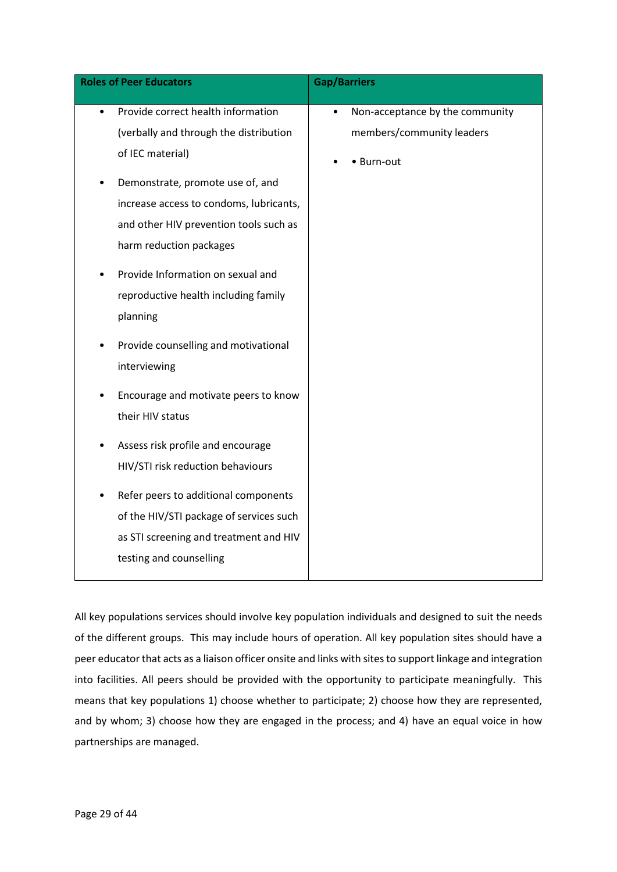All key populations services should involve key population individuals and designed to suit the needs of the different groups. This may include hours of operation. All key population sites should have a peer educator that acts as a liaison officer onsite and links with sites to support linkage and integration into facilities. All peers should be provided with the opportunity to participate meaningfully. This means that key populations 1) choose whether to participate; 2) choose how they are represented, and by whom; 3) choose how they are engaged in the process; and 4) have an equal voice in how partnerships are managed.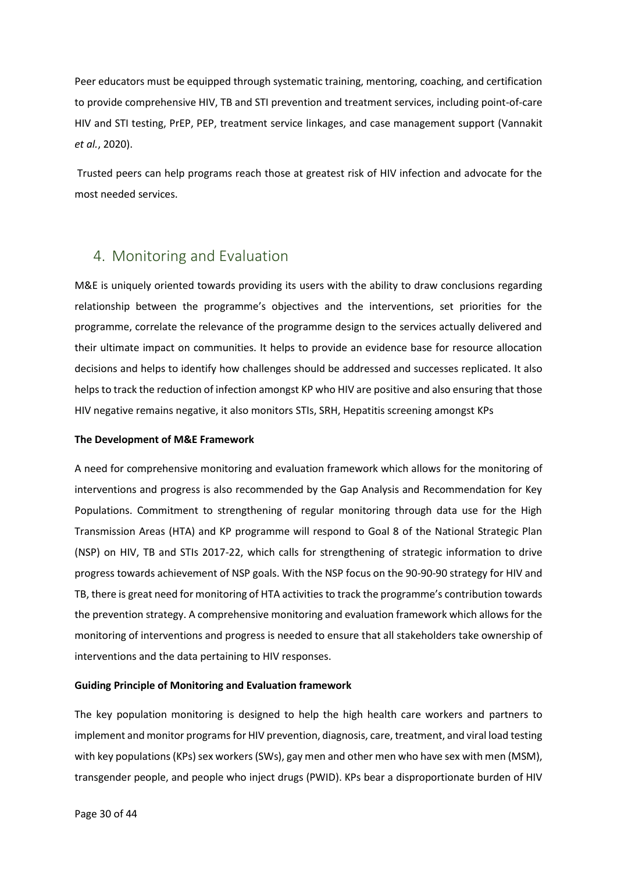Peer educators must be equipped through systematic training, mentoring, coaching, and certification to provide comprehensive HIV, TB and STI prevention and treatment services, including point-of-care HIV and STI testing, PrEP, PEP, treatment service linkages, and case management support (Vannakit *et al.*, 2020).

Trusted peers can help programs reach those at greatest risk of HIV infection and advocate for the most needed services.

# <span id="page-33-0"></span>4. Monitoring and Evaluation

M&E is uniquely oriented towards providing its users with the ability to draw conclusions regarding relationship between the programme's objectives and the interventions, set priorities for the programme, correlate the relevance of the programme design to the services actually delivered and their ultimate impact on communities. It helps to provide an evidence base for resource allocation decisions and helps to identify how challenges should be addressed and successes replicated. It also helps to track the reduction of infection amongst KP who HIV are positive and also ensuring that those HIV negative remains negative, it also monitors STIs, SRH, Hepatitis screening amongst KPs

# **The Development of M&E Framework**

A need for comprehensive monitoring and evaluation framework which allows for the monitoring of interventions and progress is also recommended by the Gap Analysis and Recommendation for Key Populations. Commitment to strengthening of regular monitoring through data use for the High Transmission Areas (HTA) and KP programme will respond to Goal 8 of the National Strategic Plan (NSP) on HIV, TB and STIs 2017-22, which calls for strengthening of strategic information to drive progress towards achievement of NSP goals. With the NSP focus on the 90-90-90 strategy for HIV and TB, there is great need for monitoring of HTA activities to track the programme's contribution towards the prevention strategy. A comprehensive monitoring and evaluation framework which allows for the monitoring of interventions and progress is needed to ensure that all stakeholders take ownership of interventions and the data pertaining to HIV responses.

## **Guiding Principle of Monitoring and Evaluation framework**

The key population monitoring is designed to help the high health care workers and partners to implement and monitor programs for HIV prevention, diagnosis, care, treatment, and viral load testing with key populations (KPs) sex workers (SWs), gay men and other men who have sex with men (MSM), transgender people, and people who inject drugs (PWID). KPs bear a disproportionate burden of HIV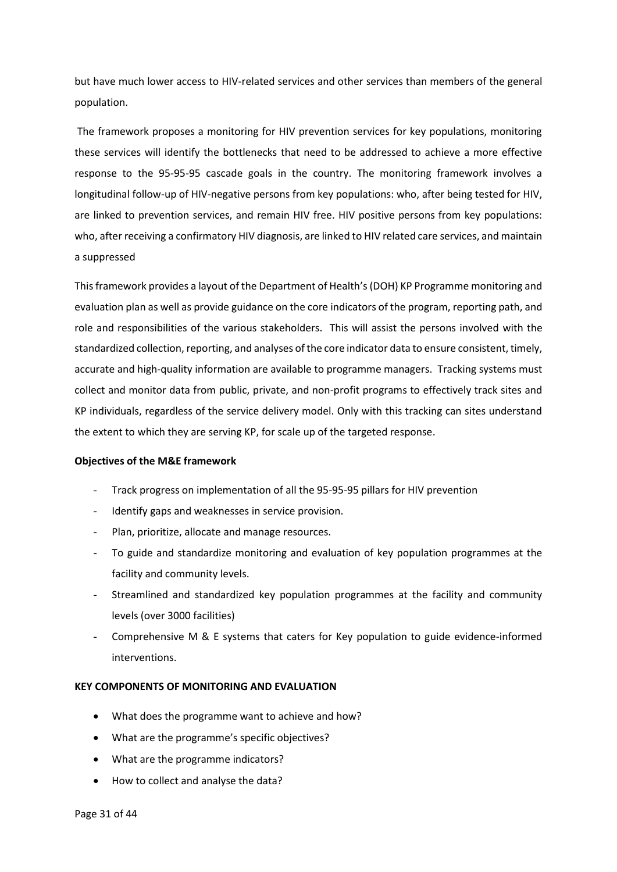but have much lower access to HIV-related services and other services than members of the general population.

The framework proposes a monitoring for HIV prevention services for key populations, monitoring these services will identify the bottlenecks that need to be addressed to achieve a more effective response to the 95-95-95 cascade goals in the country. The monitoring framework involves a longitudinal follow-up of HIV-negative persons from key populations: who, after being tested for HIV, are linked to prevention services, and remain HIV free. HIV positive persons from key populations: who, after receiving a confirmatory HIV diagnosis, are linked to HIV related care services, and maintain a suppressed

This framework provides a layout of the Department of Health's (DOH) KP Programme monitoring and evaluation plan as well as provide guidance on the core indicators of the program, reporting path, and role and responsibilities of the various stakeholders. This will assist the persons involved with the standardized collection, reporting, and analyses of the core indicator data to ensure consistent, timely, accurate and high-quality information are available to programme managers. Tracking systems must collect and monitor data from public, private, and non-profit programs to effectively track sites and KP individuals, regardless of the service delivery model. Only with this tracking can sites understand the extent to which they are serving KP, for scale up of the targeted response.

## **Objectives of the M&E framework**

- Track progress on implementation of all the 95-95-95 pillars for HIV prevention
- Identify gaps and weaknesses in service provision.
- Plan, prioritize, allocate and manage resources.
- To guide and standardize monitoring and evaluation of key population programmes at the facility and community levels.
- Streamlined and standardized key population programmes at the facility and community levels (over 3000 facilities)
- Comprehensive M & E systems that caters for Key population to guide evidence-informed interventions.

# **KEY COMPONENTS OF MONITORING AND EVALUATION**

- What does the programme want to achieve and how?
- What are the programme's specific objectives?
- What are the programme indicators?
- How to collect and analyse the data?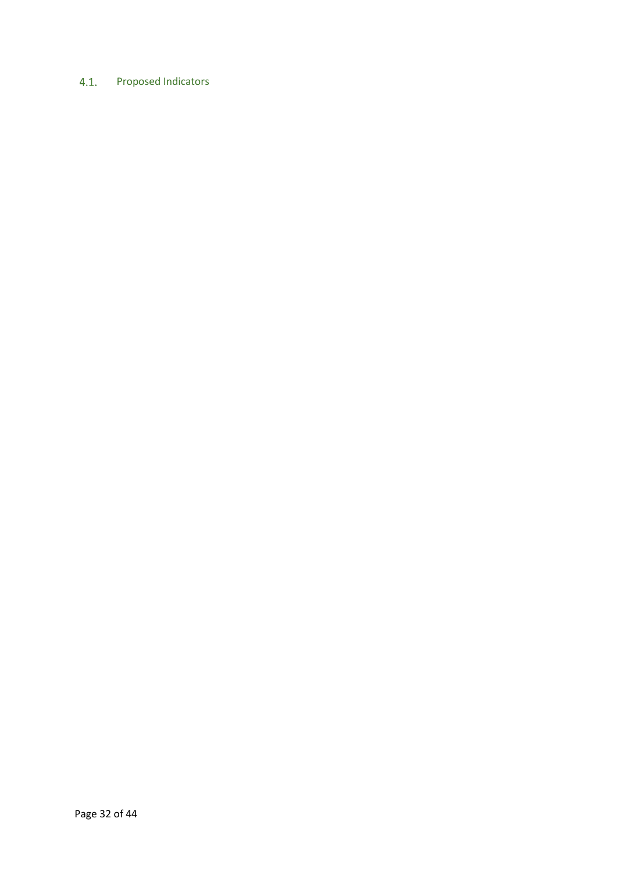# <span id="page-35-0"></span>4.1. Proposed Indicators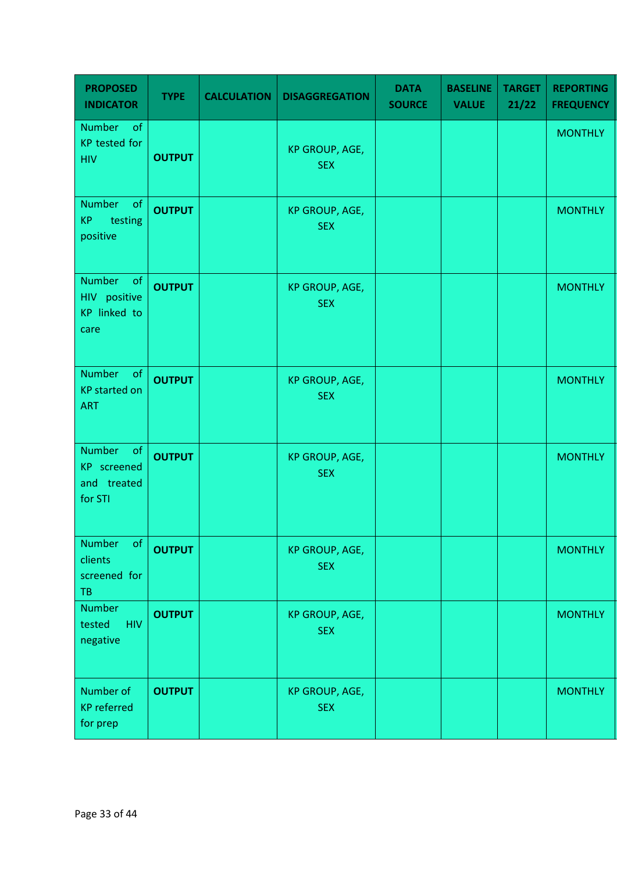| <b>PROPOSED</b><br><b>INDICATOR</b>                                | <b>TYPE</b>   | <b>CALCULATION</b> | <b>DISAGGREGATION</b>               | <b>DATA</b><br><b>SOURCE</b> | <b>BASELINE</b><br><b>VALUE</b> | <b>TARGET</b><br>21/22 | <b>REPORTING</b><br><b>FREQUENCY</b> |
|--------------------------------------------------------------------|---------------|--------------------|-------------------------------------|------------------------------|---------------------------------|------------------------|--------------------------------------|
| <b>Number</b><br>of<br><b>KP</b> tested for<br><b>HIV</b>          | <b>OUTPUT</b> |                    | <b>KP GROUP, AGE,</b><br><b>SEX</b> |                              |                                 |                        | <b>MONTHLY</b>                       |
| Number<br>of<br><b>KP</b><br>testing<br>positive                   | <b>OUTPUT</b> |                    | KP GROUP, AGE,<br><b>SEX</b>        |                              |                                 |                        | <b>MONTHLY</b>                       |
| <b>Number</b><br>of<br>HIV positive<br><b>KP</b> linked to<br>care | <b>OUTPUT</b> |                    | <b>KP GROUP, AGE,</b><br><b>SEX</b> |                              |                                 |                        | <b>MONTHLY</b>                       |
| <b>Number</b><br>of<br><b>KP</b> started on<br><b>ART</b>          | <b>OUTPUT</b> |                    | KP GROUP, AGE,<br><b>SEX</b>        |                              |                                 |                        | <b>MONTHLY</b>                       |
| Number<br>of<br>KP screened<br>and treated<br>for STI              | <b>OUTPUT</b> |                    | KP GROUP, AGE,<br><b>SEX</b>        |                              |                                 |                        | <b>MONTHLY</b>                       |
| Number<br>of<br>clients<br>screened for<br><b>TB</b>               | <b>OUTPUT</b> |                    | KP GROUP, AGE,<br><b>SEX</b>        |                              |                                 |                        | <b>MONTHLY</b>                       |
| Number<br>tested<br><b>HIV</b><br>negative                         | <b>OUTPUT</b> |                    | KP GROUP, AGE,<br><b>SEX</b>        |                              |                                 |                        | <b>MONTHLY</b>                       |
| Number of<br><b>KP</b> referred<br>for prep                        | <b>OUTPUT</b> |                    | KP GROUP, AGE,<br><b>SEX</b>        |                              |                                 |                        | <b>MONTHLY</b>                       |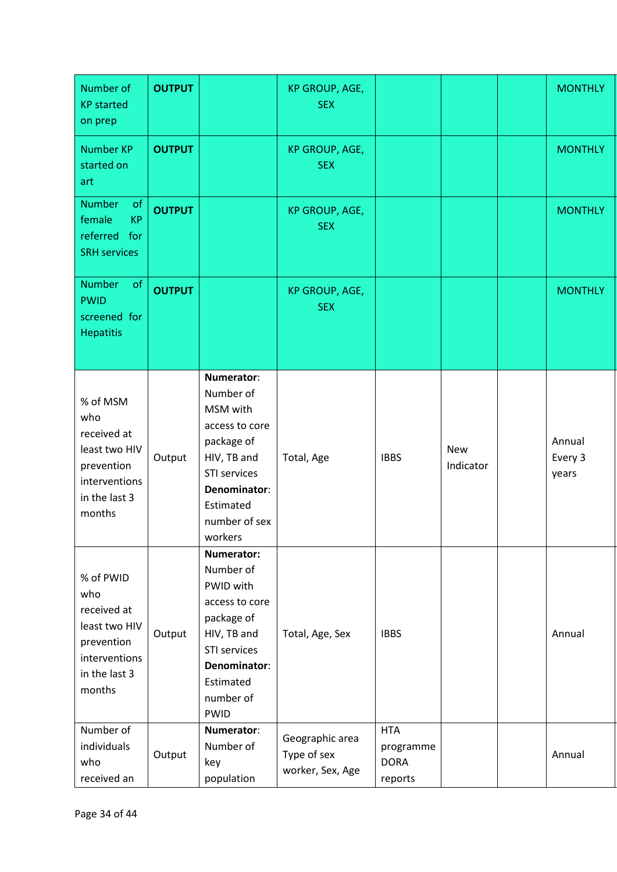| Number of<br><b>KP</b> started<br>on prep                                                                  | <b>OUTPUT</b> |                                                                                                                                                             | KP GROUP, AGE,<br><b>SEX</b>                       |                                                   |                         | <b>MONTHLY</b>             |
|------------------------------------------------------------------------------------------------------------|---------------|-------------------------------------------------------------------------------------------------------------------------------------------------------------|----------------------------------------------------|---------------------------------------------------|-------------------------|----------------------------|
| <b>Number KP</b><br>started on<br>art                                                                      | <b>OUTPUT</b> |                                                                                                                                                             | KP GROUP, AGE,<br><b>SEX</b>                       |                                                   |                         | <b>MONTHLY</b>             |
| of<br><b>Number</b><br><b>KP</b><br>female<br>referred<br>for<br><b>SRH</b> services                       | <b>OUTPUT</b> |                                                                                                                                                             | KP GROUP, AGE,<br><b>SEX</b>                       |                                                   |                         | <b>MONTHLY</b>             |
| of<br><b>Number</b><br><b>PWID</b><br>screened for<br><b>Hepatitis</b>                                     | <b>OUTPUT</b> |                                                                                                                                                             | KP GROUP, AGE,<br><b>SEX</b>                       |                                                   |                         | <b>MONTHLY</b>             |
| % of MSM<br>who<br>received at<br>least two HIV<br>prevention<br>interventions<br>in the last 3<br>months  | Output        | Numerator:<br>Number of<br>MSM with<br>access to core<br>package of<br>HIV, TB and<br>STI services<br>Denominator:<br>Estimated<br>number of sex<br>workers | Total, Age                                         | <b>IBBS</b>                                       | <b>New</b><br>Indicator | Annual<br>Every 3<br>years |
| % of PWID<br>who<br>received at<br>least two HIV<br>prevention<br>interventions<br>in the last 3<br>months | Output        | Numerator:<br>Number of<br>PWID with<br>access to core<br>package of<br>HIV, TB and<br>STI services<br>Denominator:<br>Estimated<br>number of<br>PWID       | Total, Age, Sex                                    | <b>IBBS</b>                                       |                         | Annual                     |
| Number of<br>individuals<br>who<br>received an                                                             | Output        | Numerator:<br>Number of<br>key<br>population                                                                                                                | Geographic area<br>Type of sex<br>worker, Sex, Age | <b>HTA</b><br>programme<br><b>DORA</b><br>reports |                         | Annual                     |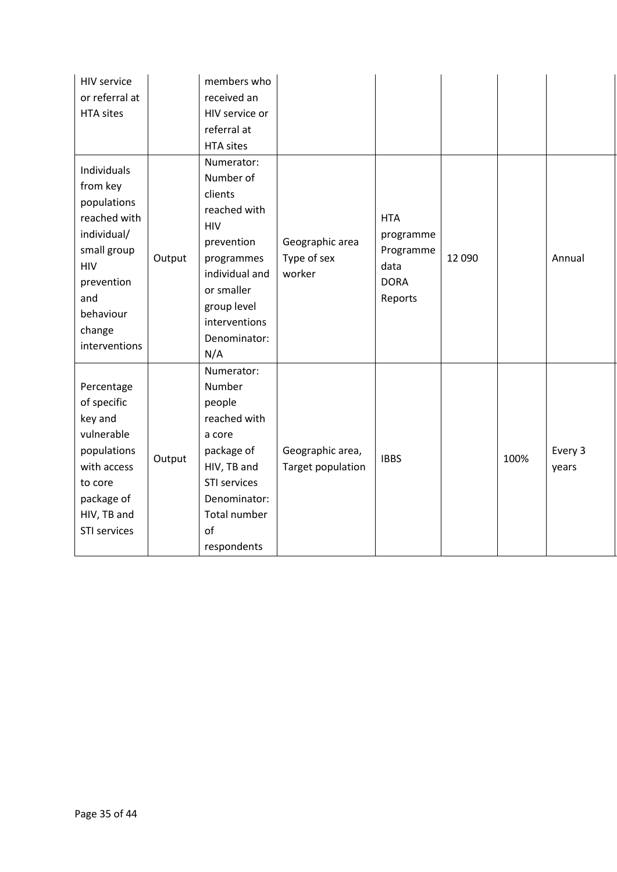| <b>HIV service</b><br>or referral at<br><b>HTA sites</b>                                                                                                        |        | members who<br>received an<br>HIV service or<br>referral at<br><b>HTA sites</b>                                                                                                     |                                          |                                                                        |        |      |                  |
|-----------------------------------------------------------------------------------------------------------------------------------------------------------------|--------|-------------------------------------------------------------------------------------------------------------------------------------------------------------------------------------|------------------------------------------|------------------------------------------------------------------------|--------|------|------------------|
| Individuals<br>from key<br>populations<br>reached with<br>individual/<br>small group<br><b>HIV</b><br>prevention<br>and<br>behaviour<br>change<br>interventions | Output | Numerator:<br>Number of<br>clients<br>reached with<br><b>HIV</b><br>prevention<br>programmes<br>individual and<br>or smaller<br>group level<br>interventions<br>Denominator:<br>N/A | Geographic area<br>Type of sex<br>worker | <b>HTA</b><br>programme<br>Programme<br>data<br><b>DORA</b><br>Reports | 12 090 |      | Annual           |
| Percentage<br>of specific<br>key and<br>vulnerable<br>populations<br>with access<br>to core<br>package of<br>HIV, TB and<br><b>STI services</b>                 | Output | Numerator:<br>Number<br>people<br>reached with<br>a core<br>package of<br>HIV, TB and<br><b>STI services</b><br>Denominator:<br><b>Total number</b><br>of<br>respondents            | Geographic area,<br>Target population    | <b>IBBS</b>                                                            |        | 100% | Every 3<br>years |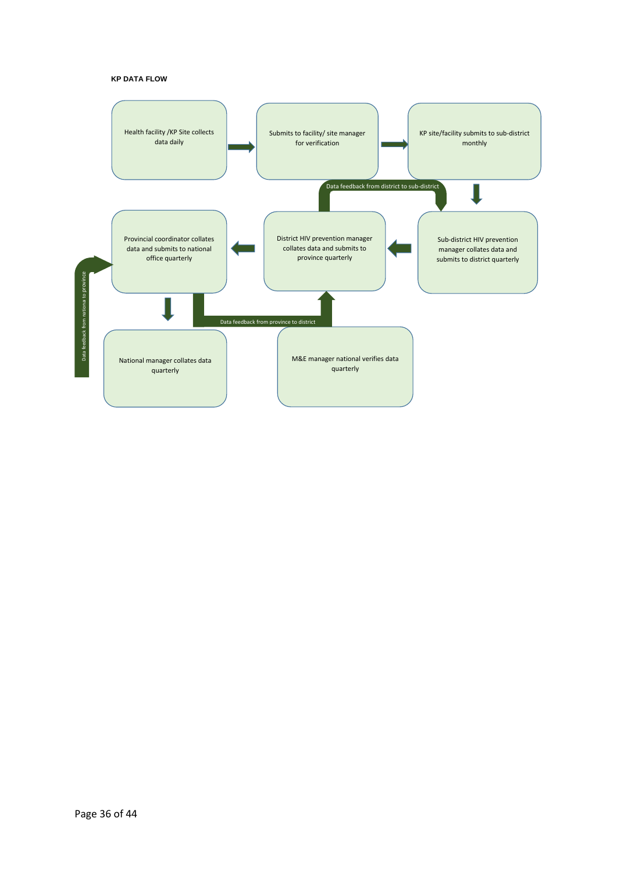### **KP DATA FLOW**

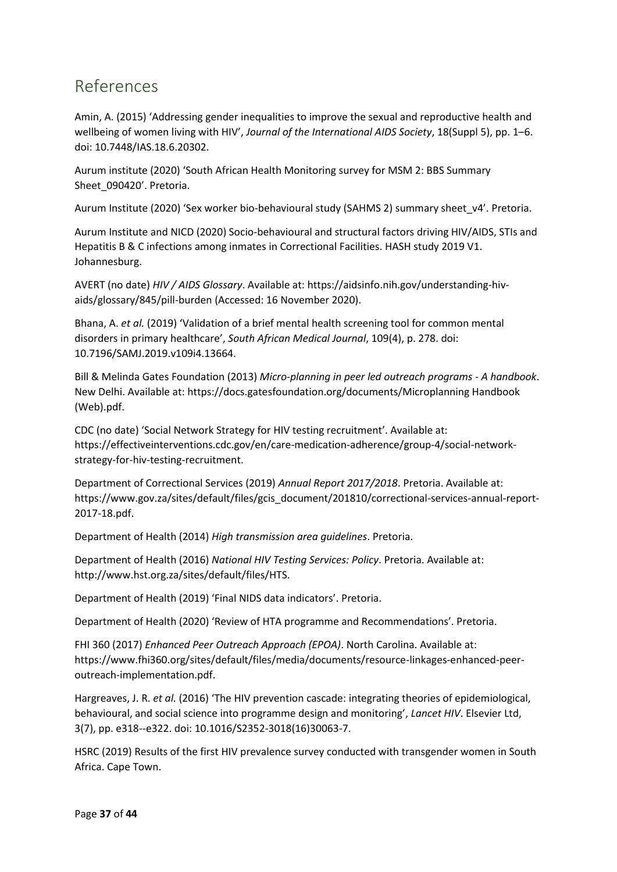# <span id="page-40-0"></span>References

Amin, A. (2015) 'Addressing gender inequalities to improve the sexual and reproductive health and wellbeing of women living with HIV', *Journal of the International AIDS Society*, 18(Suppl 5), pp. 1–6. doi: 10.7448/IAS.18.6.20302.

Aurum institute (2020) 'South African Health Monitoring survey for MSM 2: BBS Summary Sheet\_090420'. Pretoria.

Aurum Institute (2020) 'Sex worker bio-behavioural study (SAHMS 2) summary sheet\_v4'. Pretoria.

Aurum Institute and NICD (2020) Socio-behavioural and structural factors driving HIV/AIDS, STIs and Hepatitis B & C infections among inmates in Correctional Facilities. HASH study 2019 V1. Johannesburg.

AVERT (no date) *HIV / AIDS Glossary*. Available at: https://aidsinfo.nih.gov/understanding-hivaids/glossary/845/pill-burden (Accessed: 16 November 2020).

Bhana, A. *et al.* (2019) 'Validation of a brief mental health screening tool for common mental disorders in primary healthcare', *South African Medical Journal*, 109(4), p. 278. doi: 10.7196/SAMJ.2019.v109i4.13664.

Bill & Melinda Gates Foundation (2013) *Micro-planning in peer led outreach programs - A handbook*. New Delhi. Available at: https://docs.gatesfoundation.org/documents/Microplanning Handbook (Web).pdf.

CDC (no date) 'Social Network Strategy for HIV testing recruitment'. Available at: https://effectiveinterventions.cdc.gov/en/care-medication-adherence/group-4/social-networkstrategy-for-hiv-testing-recruitment.

Department of Correctional Services (2019) *Annual Report 2017/2018*. Pretoria. Available at: https://www.gov.za/sites/default/files/gcis\_document/201810/correctional-services-annual-report-2017-18.pdf.

Department of Health (2014) *High transmission area guidelines*. Pretoria.

Department of Health (2016) *National HIV Testing Services: Policy*. Pretoria. Available at: http://www.hst.org.za/sites/default/files/HTS.

Department of Health (2019) 'Final NIDS data indicators'. Pretoria.

Department of Health (2020) 'Review of HTA programme and Recommendations'. Pretoria.

FHI 360 (2017) *Enhanced Peer Outreach Approach (EPOA)*. North Carolina. Available at: https://www.fhi360.org/sites/default/files/media/documents/resource-linkages-enhanced-peeroutreach-implementation.pdf.

Hargreaves, J. R. *et al.* (2016) 'The HIV prevention cascade: integrating theories of epidemiological, behavioural, and social science into programme design and monitoring', *Lancet HIV*. Elsevier Ltd, 3(7), pp. e318--e322. doi: 10.1016/S2352-3018(16)30063-7.

HSRC (2019) Results of the first HIV prevalence survey conducted with transgender women in South Africa. Cape Town.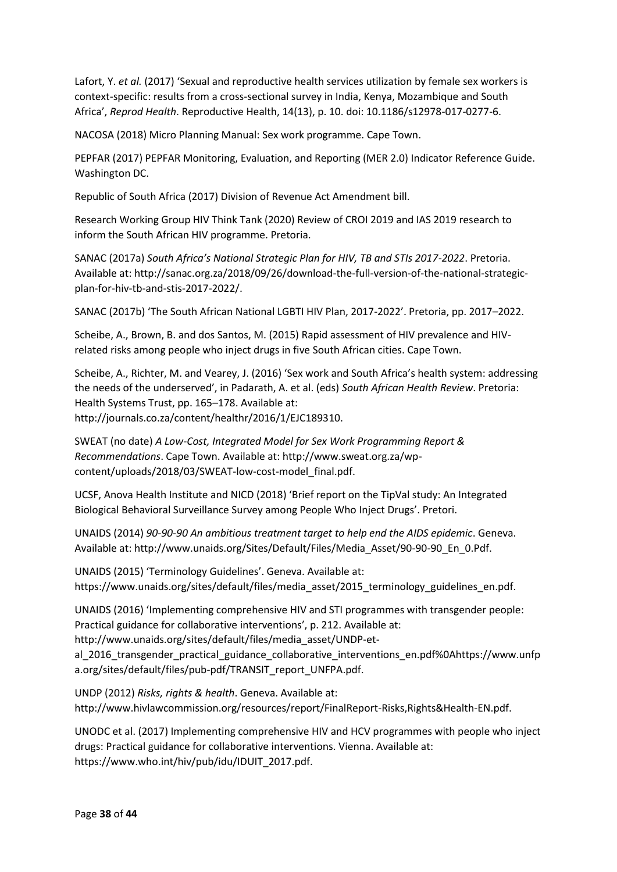Lafort, Y. *et al.* (2017) 'Sexual and reproductive health services utilization by female sex workers is context-specific: results from a cross-sectional survey in India, Kenya, Mozambique and South Africa', *Reprod Health*. Reproductive Health, 14(13), p. 10. doi: 10.1186/s12978-017-0277-6.

NACOSA (2018) Micro Planning Manual: Sex work programme. Cape Town.

PEPFAR (2017) PEPFAR Monitoring, Evaluation, and Reporting (MER 2.0) Indicator Reference Guide. Washington DC.

Republic of South Africa (2017) Division of Revenue Act Amendment bill.

Research Working Group HIV Think Tank (2020) Review of CROI 2019 and IAS 2019 research to inform the South African HIV programme. Pretoria.

SANAC (2017a) *South Africa's National Strategic Plan for HIV, TB and STIs 2017-2022*. Pretoria. Available at: http://sanac.org.za/2018/09/26/download-the-full-version-of-the-national-strategicplan-for-hiv-tb-and-stis-2017-2022/.

SANAC (2017b) 'The South African National LGBTI HIV Plan, 2017-2022'. Pretoria, pp. 2017-2022.

Scheibe, A., Brown, B. and dos Santos, M. (2015) Rapid assessment of HIV prevalence and HIVrelated risks among people who inject drugs in five South African cities. Cape Town.

Scheibe, A., Richter, M. and Vearey, J. (2016) 'Sex work and South Africa's health system: addressing the needs of the underserved', in Padarath, A. et al. (eds) *South African Health Review*. Pretoria: Health Systems Trust, pp. 165–178. Available at: http://journals.co.za/content/healthr/2016/1/EJC189310.

SWEAT (no date) *A Low-Cost, Integrated Model for Sex Work Programming Report & Recommendations*. Cape Town. Available at: http://www.sweat.org.za/wpcontent/uploads/2018/03/SWEAT-low-cost-model\_final.pdf.

UCSF, Anova Health Institute and NICD (2018) 'Brief report on the TipVal study: An Integrated Biological Behavioral Surveillance Survey among People Who Inject Drugs'. Pretori.

UNAIDS (2014) *90-90-90 An ambitious treatment target to help end the AIDS epidemic*. Geneva. Available at: http://www.unaids.org/Sites/Default/Files/Media\_Asset/90-90-90\_En\_0.Pdf.

UNAIDS (2015) 'Terminology Guidelines'. Geneva. Available at: https://www.unaids.org/sites/default/files/media\_asset/2015\_terminology\_guidelines\_en.pdf.

UNAIDS (2016) 'Implementing comprehensive HIV and STI programmes with transgender people: Practical guidance for collaborative interventions', p. 212. Available at:

http://www.unaids.org/sites/default/files/media\_asset/UNDP-et-

al 2016 transgender practical guidance collaborative interventions en.pdf%0Ahttps://www.unfp a.org/sites/default/files/pub-pdf/TRANSIT\_report\_UNFPA.pdf.

UNDP (2012) *Risks, rights & health*. Geneva. Available at: http://www.hivlawcommission.org/resources/report/FinalReport-Risks,Rights&Health-EN.pdf.

UNODC et al. (2017) Implementing comprehensive HIV and HCV programmes with people who inject drugs: Practical guidance for collaborative interventions. Vienna. Available at: https://www.who.int/hiv/pub/idu/IDUIT\_2017.pdf.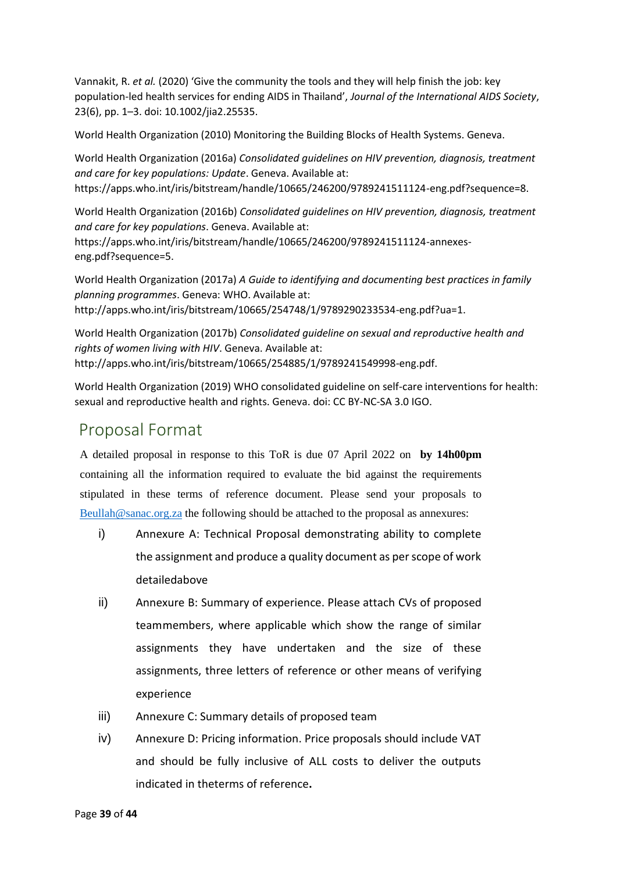Vannakit, R. *et al.* (2020) 'Give the community the tools and they will help finish the job: key population-led health services for ending AIDS in Thailand', *Journal of the International AIDS Society*, 23(6), pp. 1–3. doi: 10.1002/jia2.25535.

World Health Organization (2010) Monitoring the Building Blocks of Health Systems. Geneva.

World Health Organization (2016a) *Consolidated guidelines on HIV prevention, diagnosis, treatment and care for key populations: Update*. Geneva. Available at: https://apps.who.int/iris/bitstream/handle/10665/246200/9789241511124-eng.pdf?sequence=8.

World Health Organization (2016b) *Consolidated guidelines on HIV prevention, diagnosis, treatment and care for key populations*. Geneva. Available at: https://apps.who.int/iris/bitstream/handle/10665/246200/9789241511124-annexeseng.pdf?sequence=5.

World Health Organization (2017a) *A Guide to identifying and documenting best practices in family planning programmes*. Geneva: WHO. Available at: http://apps.who.int/iris/bitstream/10665/254748/1/9789290233534-eng.pdf?ua=1.

World Health Organization (2017b) *Consolidated guideline on sexual and reproductive health and rights of women living with HIV*. Geneva. Available at: http://apps.who.int/iris/bitstream/10665/254885/1/9789241549998-eng.pdf.

World Health Organization (2019) WHO consolidated guideline on self-care interventions for health: sexual and reproductive health and rights. Geneva. doi: CC BY-NC-SA 3.0 IGO.

# Proposal Format

A detailed proposal in response to this ToR is due 07 April 2022 on **by 14h00pm**  containing all the information required to evaluate the bid against the requirements stipulated in these terms of reference document. Please send your proposals to [Beullah@sanac.org.za](mailto:Beullah@sanac.org.za) the following should be attached to the proposal as annexures:

- i) Annexure A: Technical Proposal demonstrating ability to complete the assignment and produce a quality document as per scope of work detailedabove
- ii) Annexure B: Summary of experience. Please attach CVs of proposed teammembers, where applicable which show the range of similar assignments they have undertaken and the size of these assignments, three letters of reference or other means of verifying experience
- iii) Annexure C: Summary details of proposed team
- iv) Annexure D: Pricing information. Price proposals should include VAT and should be fully inclusive of ALL costs to deliver the outputs indicated in theterms of reference**.**